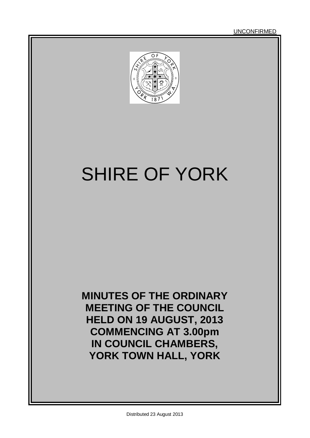

# SHIRE OF YORK

**MINUTES OF THE ORDINARY MEETING OF THE COUNCIL HELD ON 19 AUGUST, 2013 COMMENCING AT 3.00pm IN COUNCIL CHAMBERS, YORK TOWN HALL, YORK**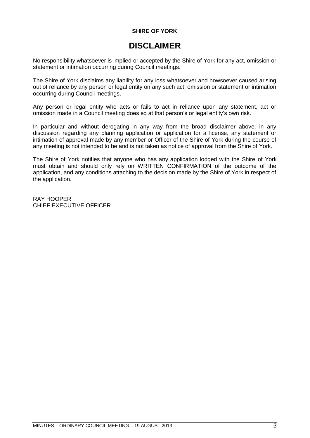### **SHIRE OF YORK**

### **DISCLAIMER**

No responsibility whatsoever is implied or accepted by the Shire of York for any act, omission or statement or intimation occurring during Council meetings.

The Shire of York disclaims any liability for any loss whatsoever and howsoever caused arising out of reliance by any person or legal entity on any such act, omission or statement or intimation occurring during Council meetings.

Any person or legal entity who acts or fails to act in reliance upon any statement, act or omission made in a Council meeting does so at that person"s or legal entity"s own risk.

In particular and without derogating in any way from the broad disclaimer above, in any discussion regarding any planning application or application for a license, any statement or intimation of approval made by any member or Officer of the Shire of York during the course of any meeting is not intended to be and is not taken as notice of approval from the Shire of York.

The Shire of York notifies that anyone who has any application lodged with the Shire of York must obtain and should only rely on WRITTEN CONFIRMATION of the outcome of the application, and any conditions attaching to the decision made by the Shire of York in respect of the application.

RAY HOOPER CHIEF EXECUTIVE OFFICER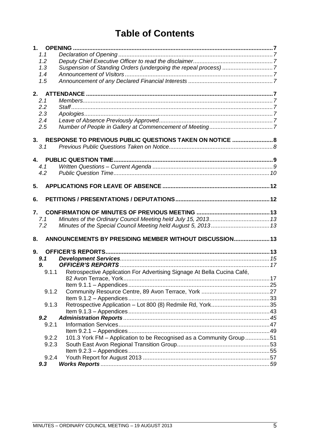### **Table of Contents**

| 1.1       |                                                                         |  |
|-----------|-------------------------------------------------------------------------|--|
| 1.2       |                                                                         |  |
| 1.3       | Suspension of Standing Orders (undergoing the repeal process) 7         |  |
| 1.4       |                                                                         |  |
| 1.5       |                                                                         |  |
|           |                                                                         |  |
| 2.1       |                                                                         |  |
| 2.2       |                                                                         |  |
| 2.3       |                                                                         |  |
| 2.4       |                                                                         |  |
| 2.5       |                                                                         |  |
|           | 3. RESPONSE TO PREVIOUS PUBLIC QUESTIONS TAKEN ON NOTICE  8             |  |
| 3.1       |                                                                         |  |
|           |                                                                         |  |
|           |                                                                         |  |
| 4.1       |                                                                         |  |
| 4.2       |                                                                         |  |
|           |                                                                         |  |
| 5.        |                                                                         |  |
| 6.        |                                                                         |  |
|           |                                                                         |  |
| 7.<br>7.1 |                                                                         |  |
| 7.2       |                                                                         |  |
|           |                                                                         |  |
| 8.        | ANNOUNCEMENTS BY PRESIDING MEMBER WITHOUT DISCUSSION 13                 |  |
| 9.        |                                                                         |  |
| 9.1       |                                                                         |  |
| 9.        |                                                                         |  |
| 9.1.1     | Retrospective Application For Advertising Signage At Bella Cucina Café, |  |
|           |                                                                         |  |
|           |                                                                         |  |
| 9.1.2     |                                                                         |  |
|           |                                                                         |  |
| 9.1.3     |                                                                         |  |
|           |                                                                         |  |
| 9.2       |                                                                         |  |
| 9.2.1     |                                                                         |  |
| 9.2.2     | 101.3 York FM - Application to be Recognised as a Community Group 51    |  |
| 9.2.3     |                                                                         |  |
|           |                                                                         |  |
| 9.2.4     |                                                                         |  |
|           |                                                                         |  |
| 9.3       |                                                                         |  |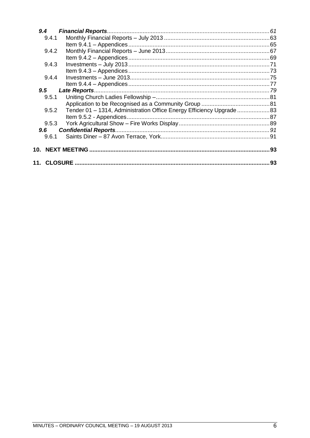| 9.4   |                                                                     |    |
|-------|---------------------------------------------------------------------|----|
| 9.4.1 |                                                                     |    |
|       |                                                                     |    |
| 9.4.2 |                                                                     |    |
|       |                                                                     |    |
| 9.4.3 |                                                                     |    |
|       |                                                                     |    |
| 9.4.4 |                                                                     |    |
|       |                                                                     |    |
| 9.5   |                                                                     |    |
| 9.5.1 |                                                                     |    |
|       |                                                                     |    |
| 9.5.2 | Tender 01 - 1314, Administration Office Energy Efficiency Upgrade83 |    |
|       |                                                                     |    |
| 9.5.3 |                                                                     |    |
| 9.6   |                                                                     |    |
| 9.6.1 |                                                                     |    |
| 10.   |                                                                     | 93 |
|       |                                                                     | 93 |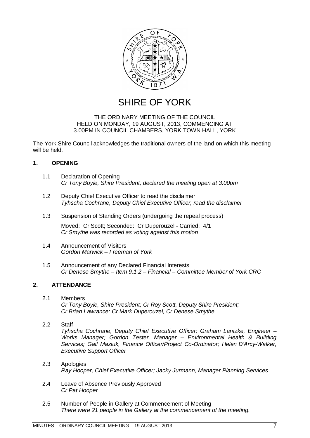

SHIRE OF YORK

### THE ORDINARY MEETING OF THE COUNCIL HELD ON MONDAY, 19 AUGUST, 2013, COMMENCING AT 3.00PM IN COUNCIL CHAMBERS, YORK TOWN HALL, YORK

The York Shire Council acknowledges the traditional owners of the land on which this meeting will be held.

### <span id="page-6-0"></span>**1. OPENING**

- <span id="page-6-1"></span>1.1 Declaration of Opening *Cr Tony Boyle, Shire President, declared the meeting open at 3.00pm*
- <span id="page-6-2"></span>1.2 Deputy Chief Executive Officer to read the disclaimer *Tyhscha Cochrane, Deputy Chief Executive Officer, read the disclaimer*
- <span id="page-6-3"></span>1.3 Suspension of Standing Orders (undergoing the repeal process)

Moved: Cr Scott; Seconded: Cr Duperouzel - Carried: 4/1 *Cr Smythe was recorded as voting against this motion*

- <span id="page-6-4"></span>1.4 Announcement of Visitors *Gordon Marwick – Freeman of York*
- <span id="page-6-5"></span>1.5 Announcement of any Declared Financial Interests *Cr Denese Smythe – Item 9.1.2 – Financial – Committee Member of York CRC*

### <span id="page-6-6"></span>**2. ATTENDANCE**

- <span id="page-6-7"></span>2.1 Members *Cr Tony Boyle, Shire President; Cr Roy Scott, Deputy Shire President; Cr Brian Lawrance; Cr Mark Duperouzel, Cr Denese Smythe*
- <span id="page-6-8"></span>2.2 Staff

*Tyhscha Cochrane, Deputy Chief Executive Officer; Graham Lantzke, Engineer – Works Manager; Gordon Tester, Manager – Environmental Health & Building Services; Gail Maziuk, Finance Officer/Project Co-Ordinator; Helen D"Arcy-Walker, Executive Support Officer*

- <span id="page-6-9"></span>2.3 Apologies *Ray Hooper, Chief Executive Officer; Jacky Jurmann, Manager Planning Services*
- <span id="page-6-10"></span>2.4 Leave of Absence Previously Approved *Cr Pat Hooper*
- <span id="page-6-11"></span>2.5 Number of People in Gallery at Commencement of Meeting *There were 21 people in the Gallery at the commencement of the meeting.*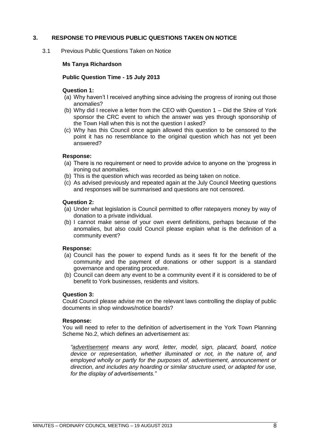### <span id="page-7-0"></span>**3. RESPONSE TO PREVIOUS PUBLIC QUESTIONS TAKEN ON NOTICE**

<span id="page-7-1"></span>3.1 Previous Public Questions Taken on Notice

### **Ms Tanya Richardson**

### **Public Question Time - 15 July 2013**

### **Question 1:**

- (a) Why haven"t I received anything since advising the progress of ironing out those anomalies?
- (b) Why did I receive a letter from the CEO with Question 1 Did the Shire of York sponsor the CRC event to which the answer was yes through sponsorship of the Town Hall when this is not the question I asked?
- (c) Why has this Council once again allowed this question to be censored to the point it has no resemblance to the original question which has not yet been answered?

### **Response:**

- (a) There is no requirement or need to provide advice to anyone on the "progress in ironing out anomalies.
- (b) This is the question which was recorded as being taken on notice.
- (c) As advised previously and repeated again at the July Council Meeting questions and responses will be summarised and questions are not censored.

### **Question 2:**

- (a) Under what legislation is Council permitted to offer ratepayers money by way of donation to a private individual.
- (b) I cannot make sense of your own event definitions, perhaps because of the anomalies, but also could Council please explain what is the definition of a community event?

### **Response:**

- (a) Council has the power to expend funds as it sees fit for the benefit of the community and the payment of donations or other support is a standard governance and operating procedure.
- (b) Council can deem any event to be a community event if it is considered to be of benefit to York businesses, residents and visitors.

### **Question 3:**

Could Council please advise me on the relevant laws controlling the display of public documents in shop windows/notice boards?

### **Response:**

You will need to refer to the definition of advertisement in the York Town Planning Scheme No.2, which defines an advertisement as:

*"advertisement means any word, letter, model, sign, placard, board, notice device or representation, whether illuminated or not, in the nature of, and employed wholly or partly for the purposes of, advertisement, announcement or direction, and includes any hoarding or similar structure used, or adapted for use, for the display of advertisements."*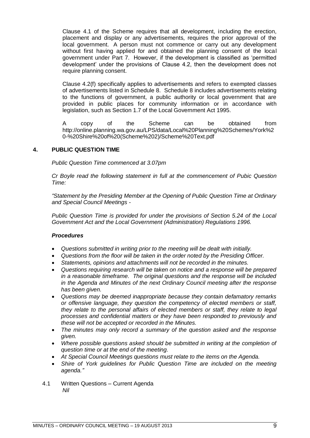Clause 4.1 of the Scheme requires that all development, including the erection, placement and display or any advertisements, requires the prior approval of the local government. A person must not commence or carry out any development without first having applied for and obtained the planning consent of the local government under Part 7. However, if the development is classified as "permitted development" under the provisions of Clause 4.2, then the development does not require planning consent.

Clause 4.2(f) specifically applies to advertisements and refers to exempted classes of advertisements listed in Schedule 8. Schedule 8 includes advertisements relating to the functions of government, a public authority or local government that are provided in public places for community information or in accordance with legislation, such as Section 1.7 of the Local Government Act 1995.

A copy of the Scheme can be obtained from [http://online.planning.wa.gov.au/LPS/data/Local%20Planning%20Schemes/York%2](http://online.planning.wa.gov.au/LPS/data/Local%20Planning%20Schemes/York%20-%20Shire%20of%20(Scheme%202)/Scheme%20Text.pdf) [0-%20Shire%20of%20\(Scheme%202\)/Scheme%20Text.pdf](http://online.planning.wa.gov.au/LPS/data/Local%20Planning%20Schemes/York%20-%20Shire%20of%20(Scheme%202)/Scheme%20Text.pdf)

### <span id="page-8-0"></span>**4. PUBLIC QUESTION TIME**

*Public Question Time commenced at 3.07pm*

*Cr Boyle read the following statement in full at the commencement of Pubic Question Time:*

*"Statement by the Presiding Member at the Opening of Public Question Time at Ordinary and Special Council Meetings -*

*Public Question Time is provided for under the provisions of Section 5.24 of the Local Government Act and the Local Government (Administration) Regulations 1996.*

### *Procedures*

- *Questions submitted in writing prior to the meeting will be dealt with initially.*
- *Questions from the floor will be taken in the order noted by the Presiding Officer.*
- *Statements, opinions and attachments will not be recorded in the minutes.*
- *Questions requiring research will be taken on notice and a response will be prepared in a reasonable timeframe. The original questions and the response will be included in the Agenda and Minutes of the next Ordinary Council meeting after the response has been given.*
- *Questions may be deemed inappropriate because they contain defamatory remarks or offensive language, they question the competency of elected members or staff, they relate to the personal affairs of elected members or staff, they relate to legal processes and confidential matters or they have been responded to previously and these will not be accepted or recorded in the Minutes.*
- *The minutes may only record a summary of the question asked and the response given.*
- *Where possible questions asked should be submitted in writing at the completion of question time or at the end of the meeting.*
- *At Special Council Meetings questions must relate to the items on the Agenda.*
- *Shire of York guidelines for Public Question Time are included on the meeting agenda."*
- <span id="page-8-1"></span>4.1 Written Questions – Current Agenda *Nil*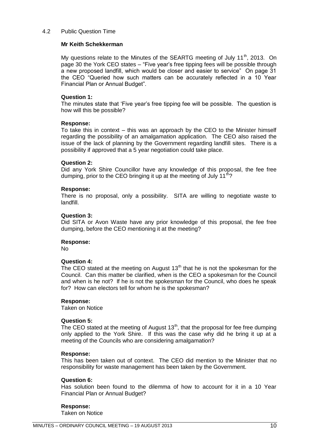### <span id="page-9-0"></span>4.2 Public Question Time

### **Mr Keith Schekkerman**

My questions relate to the Minutes of the SEARTG meeting of July 11<sup>th</sup>, 2013. On page 30 the York CEO states – "Five year"s free tipping fees will be possible through a new proposed landfill, which would be closer and easier to service" On page 31 the CEO "Queried how such matters can be accurately reflected in a 10 Year Financial Plan or Annual Budget".

### **Question 1:**

The minutes state that "Five year"s free tipping fee will be possible. The question is how will this be possible?

### **Response:**

To take this in context – this was an approach by the CEO to the Minister himself regarding the possibility of an amalgamation application. The CEO also raised the issue of the lack of planning by the Government regarding landfill sites. There is a possibility if approved that a 5 year negotiation could take place.

### **Question 2:**

Did any York Shire Councillor have any knowledge of this proposal, the fee free dumping, prior to the CEO bringing it up at the meeting of July  $11<sup>th</sup>$ ?

### **Response:**

There is no proposal, only a possibility. SITA are willing to negotiate waste to landfill.

### **Question 3:**

Did SITA or Avon Waste have any prior knowledge of this proposal, the fee free dumping, before the CEO mentioning it at the meeting?

### **Response:**

No

### **Question 4:**

The CEO stated at the meeting on August  $13<sup>th</sup>$  that he is not the spokesman for the Council. Can this matter be clarified, when is the CEO a spokesman for the Council and when is he not? If he is not the spokesman for the Council, who does he speak for? How can electors tell for whom he is the spokesman?

### **Response:**

Taken on Notice

### **Question 5:**

The CEO stated at the meeting of August  $13<sup>th</sup>$ , that the proposal for fee free dumping only applied to the York Shire. If this was the case why did he bring it up at a meeting of the Councils who are considering amalgamation?

### **Response:**

This has been taken out of context. The CEO did mention to the Minister that no responsibility for waste management has been taken by the Government.

### **Question 6:**

Has solution been found to the dilemma of how to account for it in a 10 Year Financial Plan or Annual Budget?

### **Response:**

Taken on Notice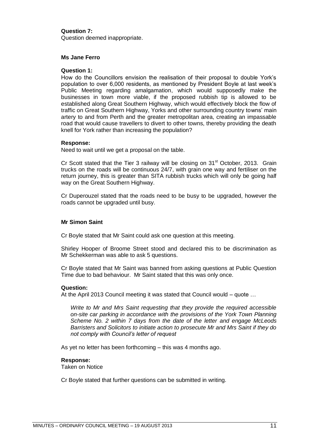### **Question 7:**

Question deemed inappropriate.

### **Ms Jane Ferro**

### **Question 1:**

How do the Councillors envision the realisation of their proposal to double York"s population to over 6,000 residents, as mentioned by President Boyle at last week"s Public Meeting regarding amalgamation, which would supposedly make the businesses in town more viable, if the proposed rubbish tip is allowed to be established along Great Southern Highway, which would effectively block the flow of traffic on Great Southern Highway, Yorks and other surrounding country towns" main artery to and from Perth and the greater metropolitan area, creating an impassable road that would cause travellers to divert to other towns, thereby providing the death knell for York rather than increasing the population?

### **Response:**

Need to wait until we get a proposal on the table.

Cr Scott stated that the Tier 3 railway will be closing on 31<sup>st</sup> October, 2013. Grain trucks on the roads will be continuous 24/7, with grain one way and fertiliser on the return journey, this is greater than SITA rubbish trucks which will only be going half way on the Great Southern Highway.

Cr Duperouzel stated that the roads need to be busy to be upgraded, however the roads cannot be upgraded until busy.

### **Mr Simon Saint**

Cr Boyle stated that Mr Saint could ask one question at this meeting.

Shirley Hooper of Broome Street stood and declared this to be discrimination as Mr Schekkerman was able to ask 5 questions.

Cr Boyle stated that Mr Saint was banned from asking questions at Public Question Time due to bad behaviour. Mr Saint stated that this was only once.

### **Question:**

At the April 2013 Council meeting it was stated that Council would – quote …

*Write to Mr and Mrs Saint requesting that they provide the required accessible on-site car parking in accordance with the provisions of the York Town Planning Scheme No. 2 within 7 days from the date of the letter and engage McLeods Barristers and Solicitors to initiate action to prosecute Mr and Mrs Saint if they do not comply with Council"s letter of request*

As yet no letter has been forthcoming – this was 4 months ago.

### **Response:**

Taken on Notice

Cr Boyle stated that further questions can be submitted in writing.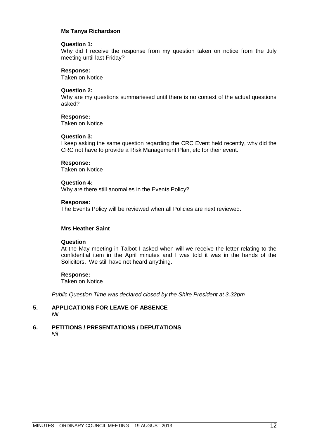### **Ms Tanya Richardson**

### **Question 1:**

Why did I receive the response from my question taken on notice from the July meeting until last Friday?

### **Response:**

Taken on Notice

### **Question 2:**

Why are my questions summariesed until there is no context of the actual questions asked?

### **Response:**

Taken on Notice

### **Question 3:**

I keep asking the same question regarding the CRC Event held recently, why did the CRC not have to provide a Risk Management Plan, etc for their event.

### **Response:**

Taken on Notice

### **Question 4:**

Why are there still anomalies in the Events Policy?

### **Response:**

The Events Policy will be reviewed when all Policies are next reviewed.

### **Mrs Heather Saint**

### **Question**

At the May meeting in Talbot I asked when will we receive the letter relating to the confidential item in the April minutes and I was told it was in the hands of the Solicitors. We still have not heard anything.

### **Response:**

Taken on Notice

*Public Question Time was declared closed by the Shire President at 3.32pm*

### <span id="page-11-0"></span>**5. APPLICATIONS FOR LEAVE OF ABSENCE**  *Nil*

#### <span id="page-11-1"></span>**6. PETITIONS / PRESENTATIONS / DEPUTATIONS** *Nil*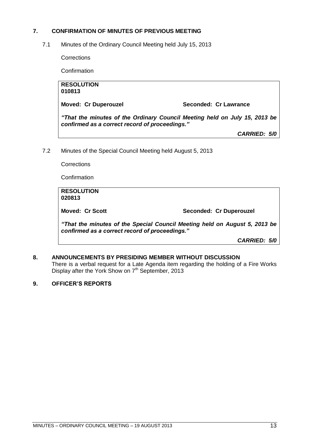### <span id="page-12-0"></span>**7. CONFIRMATION OF MINUTES OF PREVIOUS MEETING**

<span id="page-12-1"></span>7.1 Minutes of the Ordinary Council Meeting held July 15, 2013

**Corrections** 

**Confirmation** 

| <b>RESOLUTION</b><br>010813                                                                                                  |                       |  |
|------------------------------------------------------------------------------------------------------------------------------|-----------------------|--|
| <b>Moved: Cr Duperouzel</b>                                                                                                  | Seconded: Cr Lawrance |  |
| "That the minutes of the Ordinary Council Meeting held on July 15, 2013 be<br>confirmed as a correct record of proceedings." |                       |  |
|                                                                                                                              | <b>CARRIED: 5/0</b>   |  |
| Minutes of the Special Council Meeting held August 5, 2013<br>Corrections                                                    |                       |  |

<span id="page-12-2"></span>7.2 Minutes of the Special Council Meeting held August 5, 2013

**Confirmation** 

**RESOLUTION 020813 Moved: Cr Scott Seconded: Cr Duperouzel** 

*"That the minutes of the Special Council Meeting held on August 5, 2013 be confirmed as a correct record of proceedings."*

*CARRIED: 5/0*

### <span id="page-12-3"></span>**8. ANNOUNCEMENTS BY PRESIDING MEMBER WITHOUT DISCUSSION**

There is a verbal request for a Late Agenda item regarding the holding of a Fire Works Display after the York Show on 7<sup>th</sup> September, 2013

### <span id="page-12-4"></span>**9. OFFICER'S REPORTS**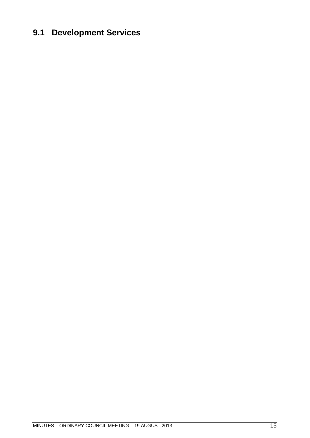### <span id="page-14-0"></span>**9.1 Development Services**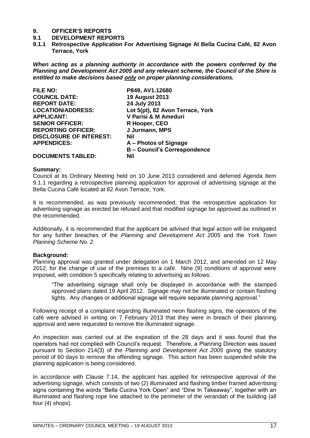# <span id="page-16-0"></span>**9. OFFICER'S REPORTS**

### **9.1 DEVELOPMENT REPORTS**

<span id="page-16-1"></span>**9.1.1 Retrospective Application For Advertising Signage At Bella Cucina Café, 82 Avon Terrace, York**

*When acting as a planning authority in accordance with the powers conferred by the Planning and Development Act 2005 and any relevant scheme, the Council of the Shire is entitled to make decisions based only on proper planning considerations.*

| <b>FILE NO:</b>                | P849, AV1.12680                     |
|--------------------------------|-------------------------------------|
| <b>COUNCIL DATE:</b>           | <b>19 August 2013</b>               |
| <b>REPORT DATE:</b>            | 24 July 2013                        |
| <b>LOCATION/ADDRESS:</b>       | Lot 5(pt), 82 Avon Terrace, York    |
| <b>APPLICANT:</b>              | V Parisi & M Ameduri                |
| <b>SENIOR OFFICER:</b>         | R Hooper, CEO                       |
| <b>REPORTING OFFICER:</b>      | J Jurmann, MPS                      |
| <b>DISCLOSURE OF INTEREST:</b> | Nil                                 |
| <b>APPENDICES:</b>             | A – Photos of Signage               |
|                                | <b>B - Council's Correspondence</b> |
| <b>DOCUMENTS TABLED:</b>       | Nil                                 |

#### **Summary:**

Council at its Ordinary Meeting held on 10 June 2013 considered and deferred Agenda Item 9.1.1 regarding a retrospective planning application for approval of advertising signage at the Bella Cucina Café located at 82 Avon Terrace, York.

It is recommended, as was previously recommended, that the retrospective application for advertising signage as erected be refused and that modified signage be approved as outlined in the recommended.

Additionally, it is recommended that the applicant be advised that legal action will be instigated for any further breaches of the *Planning and Development Act 2005* and the *York Town Planning Scheme No. 2.*

### **Background:**

Planning approval was granted under delegation on 1 March 2012, and amended on 12 May 2012, for the change of use of the premises to a café. Nine (9) conditions of approval were imposed, with condition 5 specifically relating to advertising as follows:

"The advertising signage shall only be displayed in accordance with the stamped approved plans dated 19 April 2012. Signage may not be illuminated or contain flashing lights. Any changes or additional signage will require separate planning approval."

Following receipt of a complaint regarding illuminated neon flashing signs, the operators of the café were advised in writing on 7 February 2013 that they were in breach of their planning approval and were requested to remove the illuminated signage.

An inspection was carried out at the expiration of the 28 days and it was found that the operators had not complied with Council"s request. Therefore, a Planning Direction was issued pursuant to Section 214(3) of the *Planning and Development Act 2005* giving the statutory period of 60 days to remove the offending signage. This action has been suspended while the planning application is being considered.

In accordance with Clause 7.14, the applicant has applied for retrospective approval of the advertising signage, which consists of two (2) illuminated and flashing timber framed advertising signs containing the words "Bella Cucina York Open" and "Dine In Takeaway", together with an illuminated and flashing rope line attached to the perimeter of the verandah of the building (all four (4) shops).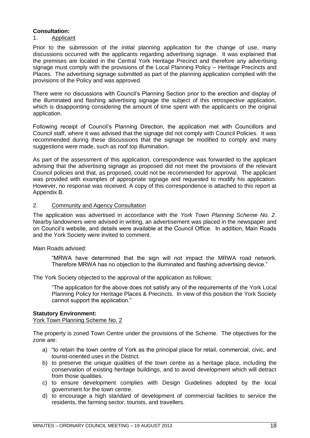### **Consultation:**

### 1. Applicant

Prior to the submission of the initial planning application for the change of use, many discussions occurred with the applicants regarding advertising signage. It was explained that the premises are located in the Central York Heritage Precinct and therefore any advertising signage must comply with the provisions of the Local Planning Policy – Heritage Precincts and Places. The advertising signage submitted as part of the planning application complied with the provisions of the Policy and was approved.

There were no discussions with Council"s Planning Section prior to the erection and display of the illuminated and flashing advertising signage the subject of this retrospective application, which is disappointing considering the amount of time spent with the applicants on the original application.

Following receipt of Council"s Planning Direction, the application met with Councillors and Council staff, where it was advised that the signage did not comply with Council Policies. It was recommended during these discussions that the signage be modified to comply and many suggestions were made, such as roof top illumination.

As part of the assessment of this application, correspondence was forwarded to the applicant advising that the advertising signage as proposed did not meet the provisions of the relevant Council policies and that, as proposed, could not be recommended for approval. The applicant was provided with examples of appropriate signage and requested to modify his application. However, no response was received. A copy of this correspondence is attached to this report at Appendix B.

### 2. Community and Agency Consultation

The application was advertised in accordance with the *York Town Planning Scheme No. 2*. Nearby landowners were advised in writing, an advertisement was placed in the newspaper and on Council"s website, and details were available at the Council Office. In addition, Main Roads and the York Society were invited to comment.

Main Roads advised:

"MRWA have determined that the sign will not impact the MRWA road network. Therefore MRWA has no objection to the illuminated and flashing advertising device."

The York Society objected to the approval of the application as follows:

"The application for the above does not satisfy any of the requirements of the York Local Planning Policy for Heritage Places & Precincts. In view of this position the York Society cannot support the application."

### **Statutory Environment:**

York Town Planning Scheme No. 2

The property is zoned Town Centre under the provisions of the Scheme. The objectives for the zone are:

- a) "to retain the town centre of York as the principal place for retail, commercial, civic, and tourist-oriented uses in the District.
- b) to preserve the unique qualities of the town centre as a heritage place, including the conservation of existing heritage buildings, and to avoid development which will detract from those qualities.
- c) to ensure development complies with Design Guidelines adopted by the local government for the town centre.
- d) to encourage a high standard of development of commercial facilities to service the residents, the farming sector, tourists, and travellers.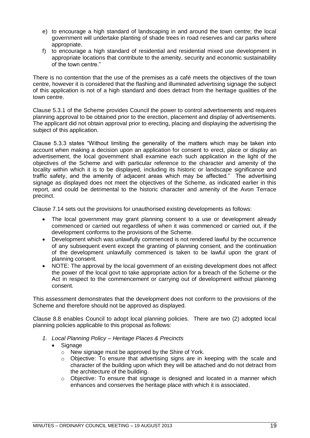- e) to encourage a high standard of landscaping in and around the town centre; the local government will undertake planting of shade trees in road reserves and car parks where appropriate.
- f) to encourage a high standard of residential and residential mixed use development in appropriate locations that contribute to the amenity, security and economic sustainability of the town centre."

There is no contention that the use of the premises as a café meets the objectives of the town centre, however it is considered that the flashing and illuminated advertising signage the subject of this application is not of a high standard and does detract from the heritage qualities of the town centre.

Clause 5.3.1 of the Scheme provides Council the power to control advertisements and requires planning approval to be obtained prior to the erection, placement and display of advertisements. The applicant did not obtain approval prior to erecting, placing and displaying the advertising the subject of this application.

Clause 5.3.3 states "Without limiting the generality of the matters which may be taken into account when making a decision upon an application for consent to erect, place or display an advertisement, the local government shall examine each such application in the light of the objectives of the Scheme and with particular reference to the character and amenity of the locality within which it is to be displayed, including its historic or landscape significance and traffic safety, and the amenity of adjacent areas which may be affected." The advertising signage as displayed does not meet the objectives of the Scheme, as indicated earlier in this report, and could be detrimental to the historic character and amenity of the Avon Terrace precinct.

Clause 7.14 sets out the provisions for unauthorised existing developments as follows:

- The local government may grant planning consent to a use or development already commenced or carried out regardless of when it was commenced or carried out, if the development conforms to the provisions of the Scheme.
- Development which was unlawfully commenced is not rendered lawful by the occurrence of any subsequent event except the granting of planning consent, and the continuation of the development unlawfully commenced is taken to be lawful upon the grant of planning consent.
- NOTE: The approval by the local government of an existing development does not affect the power of the local govt to take appropriate action for a breach of the Scheme or the Act in respect to the commencement or carrying out of development without planning consent.

This assessment demonstrates that the development does not conform to the provisions of the Scheme and therefore should not be approved as displayed.

Clause 8.8 enables Council to adopt local planning policies. There are two (2) adopted local planning policies applicable to this proposal as follows:

- *1. Local Planning Policy – Heritage Places & Precincts*
	- Signage
		- o New signage must be approved by the Shire of York.
		- $\circ$  Objective: To ensure that advertising signs are in keeping with the scale and character of the building upon which they will be attached and do not detract from the architecture of the building.
		- o Objective: To ensure that signage is designed and located in a manner which enhances and conserves the heritage place with which it is associated.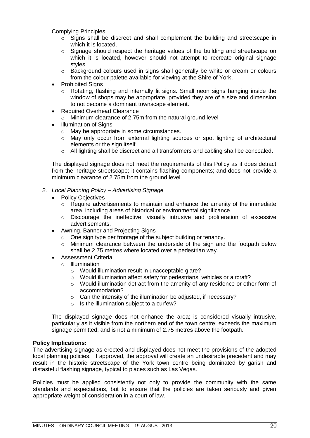Complying Principles

- o Signs shall be discreet and shall complement the building and streetscape in which it is located.
- $\circ$  Signage should respect the heritage values of the building and streetscape on which it is located, however should not attempt to recreate original signage styles.
- o Background colours used in signs shall generally be white or cream or colours from the colour palette available for viewing at the Shire of York.
- Prohibited Signs
	- Rotating, flashing and internally lit signs. Small neon signs hanging inside the window of shops may be appropriate, provided they are of a size and dimension to not become a dominant townscape element.
- Required Overhead Clearance
	- o Minimum clearance of 2.75m from the natural ground level
- Illumination of Signs
	- o May be appropriate in some circumstances.
	- o May only occur from external lighting sources or spot lighting of architectural elements or the sign itself.
	- o All lighting shall be discreet and all transformers and cabling shall be concealed.

The displayed signage does not meet the requirements of this Policy as it does detract from the heritage streetscape; it contains flashing components; and does not provide a minimum clearance of 2.75m from the ground level.

- *2. Local Planning Policy – Advertising Signage*
	- Policy Objectives
		- $\circ$  Require advertisements to maintain and enhance the amenity of the immediate area, including areas of historical or environmental significance.
		- $\circ$  Discourage the ineffective, visually intrusive and proliferation of excessive advertisements.
	- Awning, Banner and Projecting Signs
		- o One sign type per frontage of the subject building or tenancy.
		- $\circ$  Minimum clearance between the underside of the sign and the footpath below shall be 2.75 metres where located over a pedestrian way.
	- Assessment Criteria
		- o Illumination
			- o Would illumination result in unacceptable glare?
			- o Would illumination affect safety for pedestrians, vehicles or aircraft?
			- o Would illumination detract from the amenity of any residence or other form of accommodation?
			- o Can the intensity of the illumination be adjusted, if necessary?
			- o Is the illumination subject to a curfew?

The displayed signage does not enhance the area; is considered visually intrusive, particularly as it visible from the northern end of the town centre; exceeds the maximum signage permitted; and is not a minimum of 2.75 metres above the footpath.

### **Policy Implications:**

The advertising signage as erected and displayed does not meet the provisions of the adopted local planning policies. If approved, the approval will create an undesirable precedent and may result in the historic streetscape of the York town centre being dominated by garish and distasteful flashing signage, typical to places such as Las Vegas.

Policies must be applied consistently not only to provide the community with the same standards and expectations, but to ensure that the policies are taken seriously and given appropriate weight of consideration in a court of law.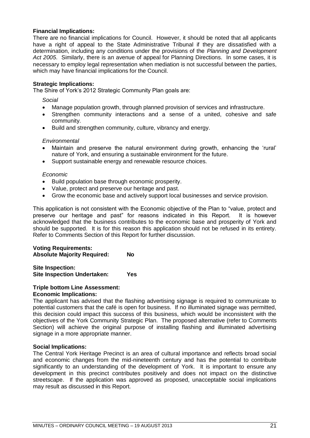### **Financial Implications:**

There are no financial implications for Council. However, it should be noted that all applicants have a right of appeal to the State Administrative Tribunal if they are dissatisfied with a determination, including any conditions under the provisions of the *Planning and Development Act 2005*. Similarly, there is an avenue of appeal for Planning Directions. In some cases, it is necessary to employ legal representation when mediation is not successful between the parties, which may have financial implications for the Council.

### **Strategic Implications:**

The Shire of York"s 2012 Strategic Community Plan goals are:

*Social*

- Manage population growth, through planned provision of services and infrastructure.
- Strengthen community interactions and a sense of a united, cohesive and safe community.
- Build and strengthen community, culture, vibrancy and energy.

### *Environmental*

- Maintain and preserve the natural environment during growth, enhancing the "rural" nature of York, and ensuring a sustainable environment for the future.
- Support sustainable energy and renewable resource choices.

### *Economic*

- Build population base through economic prosperity.
- Value, protect and preserve our heritage and past.
- Grow the economic base and actively support local businesses and service provision.

This application is not consistent with the Economic objective of the Plan to "value, protect and preserve our heritage and past" for reasons indicated in this Report. It is however acknowledged that the business contributes to the economic base and prosperity of York and should be supported. It is for this reason this application should not be refused in its entirety. Refer to Comments Section of this Report for further discussion.

### **Voting Requirements: Absolute Majority Required: No**

**Site Inspection: Site Inspection Undertaken: Yes**

### **Triple bottom Line Assessment: Economic Implications:**

The applicant has advised that the flashing advertising signage is required to communicate to potential customers that the café is open for business. If no illuminated signage was permitted, this decision could impact this success of this business, which would be inconsistent with the objectives of the York Community Strategic Plan. The proposed alternative (refer to Comments Section) will achieve the original purpose of installing flashing and illuminated advertising signage in a more appropriate manner.

### **Social Implications:**

The Central York Heritage Precinct is an area of cultural importance and reflects broad social and economic changes from the mid-nineteenth century and has the potential to contribute significantly to an understanding of the development of York. It is important to ensure any development in this precinct contributes positively and does not impact on the distinctive streetscape. If the application was approved as proposed, unacceptable social implications may result as discussed in this Report.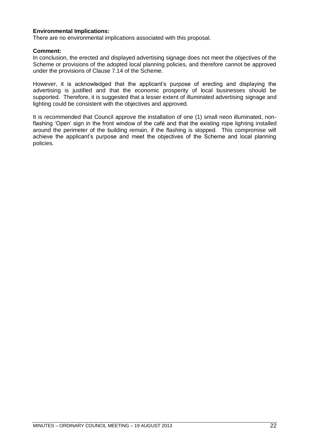### **Environmental Implications:**

There are no environmental implications associated with this proposal.

### **Comment:**

In conclusion, the erected and displayed advertising signage does not meet the objectives of the Scheme or provisions of the adopted local planning policies, and therefore cannot be approved under the provisions of Clause 7.14 of the Scheme.

However, it is acknowledged that the applicant"s purpose of erecting and displaying the advertising is justified and that the economic prosperity of local businesses should be supported. Therefore, it is suggested that a lesser extent of illuminated advertising signage and lighting could be consistent with the objectives and approved.

It is recommended that Council approve the installation of one (1) small neon illuminated, nonflashing "Open" sign in the front window of the café and that the existing rope lighting installed around the perimeter of the building remain, if the flashing is stopped. This compromise will achieve the applicant's purpose and meet the objectives of the Scheme and local planning policies.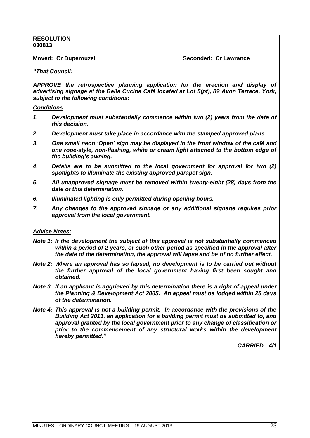### **RESOLUTION 030813**

**Moved: Cr Duperouzel Seconded: Cr Lawrance**

*"That Council:*

*APPROVE the retrospective planning application for the erection and display of advertising signage at the Bella Cucina Café located at Lot 5(pt), 82 Avon Terrace, York, subject to the following conditions:*

### *Conditions*

- *1. Development must substantially commence within two (2) years from the date of this decision.*
- *2. Development must take place in accordance with the stamped approved plans.*
- *3. One small neon "Open" sign may be displayed in the front window of the café and one rope-style, non-flashing, white or cream light attached to the bottom edge of the building"s awning.*
- *4. Details are to be submitted to the local government for approval for two (2) spotlights to illuminate the existing approved parapet sign.*
- *5. All unapproved signage must be removed within twenty-eight (28) days from the date of this determination.*
- *6. Illuminated lighting is only permitted during opening hours.*
- *7. Any changes to the approved signage or any additional signage requires prior approval from the local government.*

### *Advice Notes:*

- *Note 1: If the development the subject of this approval is not substantially commenced within a period of 2 years, or such other period as specified in the approval after the date of the determination, the approval will lapse and be of no further effect.*
- *Note 2: Where an approval has so lapsed, no development is to be carried out without the further approval of the local government having first been sought and obtained.*
- *Note 3: If an applicant is aggrieved by this determination there is a right of appeal under the Planning & Development Act 2005. An appeal must be lodged within 28 days of the determination.*
- *Note 4: This approval is not a building permit. In accordance with the provisions of the Building Act 2011, an application for a building permit must be submitted to, and approval granted by the local government prior to any change of classification or*  prior to the commencement of any structural works within the development *hereby permitted."*

*CARRIED: 4/1*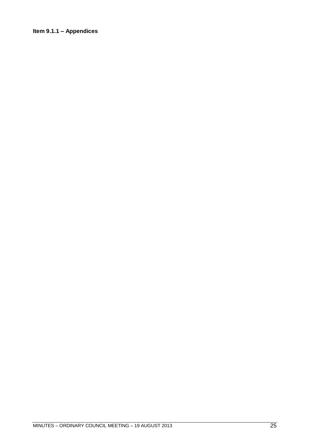### <span id="page-24-0"></span>**Item 9.1.1 – Appendices**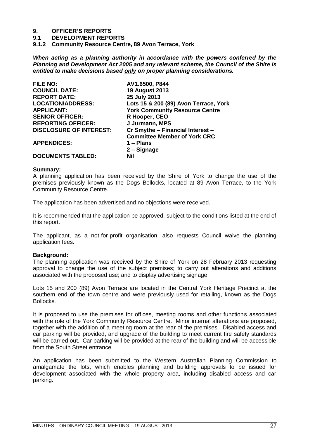# **9. OFFICER'S REPORTS**

**9.1 DEVELOPMENT REPORTS**

<span id="page-26-0"></span>**9.1.2 Community Resource Centre, 89 Avon Terrace, York**

*When acting as a planning authority in accordance with the powers conferred by the Planning and Development Act 2005 and any relevant scheme, the Council of the Shire is entitled to make decisions based only on proper planning considerations.*

| <b>FILE NO:</b>                | AV1.6500, P844                        |
|--------------------------------|---------------------------------------|
| <b>COUNCIL DATE:</b>           | <b>19 August 2013</b>                 |
| <b>REPORT DATE:</b>            | 25 July 2013                          |
| <b>LOCATION/ADDRESS:</b>       | Lots 15 & 200 (89) Avon Terrace, York |
| <b>APPLICANT:</b>              | <b>York Community Resource Centre</b> |
| <b>SENIOR OFFICER:</b>         | R Hooper, CEO                         |
| <b>REPORTING OFFICER:</b>      | J Jurmann, MPS                        |
| <b>DISCLOSURE OF INTEREST:</b> | Cr Smythe - Financial Interest -      |
|                                | <b>Committee Member of York CRC</b>   |
| <b>APPENDICES:</b>             | $1 -$ Plans                           |
|                                | 2 - Signage                           |
| <b>DOCUMENTS TABLED:</b>       | Nil                                   |

### **Summary:**

A planning application has been received by the Shire of York to change the use of the premises previously known as the Dogs Bollocks, located at 89 Avon Terrace, to the York Community Resource Centre.

The application has been advertised and no objections were received.

It is recommended that the application be approved, subject to the conditions listed at the end of this report.

The applicant, as a not-for-profit organisation, also requests Council waive the planning application fees.

### **Background:**

The planning application was received by the Shire of York on 28 February 2013 requesting approval to change the use of the subject premises; to carry out alterations and additions associated with the proposed use; and to display advertising signage.

Lots 15 and 200 (89) Avon Terrace are located in the Central York Heritage Precinct at the southern end of the town centre and were previously used for retailing, known as the Dogs Bollocks.

It is proposed to use the premises for offices, meeting rooms and other functions associated with the role of the York Community Resource Centre. Minor internal alterations are proposed, together with the addition of a meeting room at the rear of the premises. Disabled access and car parking will be provided, and upgrade of the building to meet current fire safety standards will be carried out. Car parking will be provided at the rear of the building and will be accessible from the South Street entrance.

An application has been submitted to the Western Australian Planning Commission to amalgamate the lots, which enables planning and building approvals to be issued for development associated with the whole property area, including disabled access and car parking.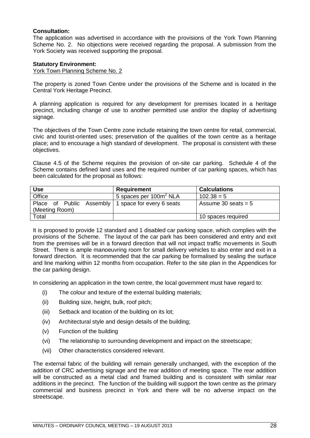### **Consultation:**

The application was advertised in accordance with the provisions of the York Town Planning Scheme No. 2. No objections were received regarding the proposal. A submission from the York Society was received supporting the proposal.

### **Statutory Environment:**

York Town Planning Scheme No. 2

The property is zoned Town Centre under the provisions of the Scheme and is located in the Central York Heritage Precinct.

A planning application is required for any development for premises located in a heritage precinct, including change of use to another permitted use and/or the display of advertising signage.

The objectives of the Town Centre zone include retaining the town centre for retail, commercial, civic and tourist-oriented uses; preservation of the qualities of the town centre as a heritage place; and to encourage a high standard of development. The proposal is consistent with these objectives.

Clause 4.5 of the Scheme requires the provision of on-site car parking. Schedule 4 of the Scheme contains defined land uses and the required number of car parking spaces, which has been calculated for the proposal as follows:

| <b>Use</b>                                         | <b>Requirement</b>                 | <b>Calculations</b>   |
|----------------------------------------------------|------------------------------------|-----------------------|
| Office                                             | 5 spaces per 100m <sup>2</sup> NLA | $102.38 = 5$          |
| Place of Public Assembly 1 space for every 6 seats |                                    | Assume 30 seats $= 5$ |
| (Meeting Room)                                     |                                    |                       |
| Total                                              |                                    | 10 spaces required    |

It is proposed to provide 12 standard and 1 disabled car parking space, which complies with the provisions of the Scheme. The layout of the car park has been considered and entry and exit from the premises will be in a forward direction that will not impact traffic movements in South Street. There is ample manoeuvring room for small delivery vehicles to also enter and exit in a forward direction. It is recommended that the car parking be formalised by sealing the surface and line marking within 12 months from occupation. Refer to the site plan in the Appendices for the car parking design.

In considering an application in the town centre, the local government must have regard to:

- (i) The colour and texture of the external building materials;
- (ii) Building size, height, bulk, roof pitch;
- (iii) Setback and location of the building on its lot;
- (iv) Architectural style and design details of the building;
- (v) Function of the building
- (vi) The relationship to surrounding development and impact on the streetscape;
- (vii) Other characteristics considered relevant.

The external fabric of the building will remain generally unchanged, with the exception of the addition of CRC advertising signage and the rear addition of meeting space. The rear addition will be constructed as a metal clad and framed building and is consistent with similar rear additions in the precinct. The function of the building will support the town centre as the primary commercial and business precinct in York and there will be no adverse impact on the streetscape.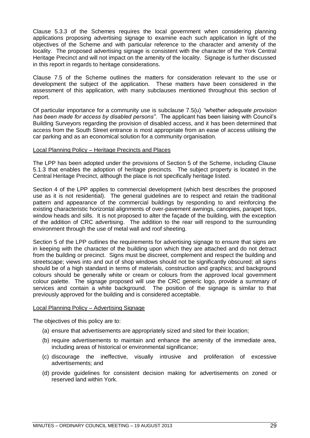Clause 5.3.3 of the Schemes requires the local government when considering planning applications proposing advertising signage to examine each such application in light of the objectives of the Scheme and with particular reference to the character and amenity of the locality. The proposed advertising signage is consistent with the character of the York Central Heritage Precinct and will not impact on the amenity of the locality. Signage is further discussed in this report in regards to heritage considerations.

Clause 7.5 of the Scheme outlines the matters for consideration relevant to the use or development the subject of the application. These matters have been considered in the assessment of this application, with many subclauses mentioned throughout this section of report.

Of particular importance for a community use is subclause 7.5(u) *"whether adequate provision has been made for access by disabled persons"*. The applicant has been liaising with Council"s Building Surveyors regarding the provision of disabled access, and it has been determined that access from the South Street entrance is most appropriate from an ease of access utilising the car parking and as an economical solution for a community organisation.

### Local Planning Policy – Heritage Precincts and Places

The LPP has been adopted under the provisions of Section 5 of the Scheme, including Clause 5.1.3 that enables the adoption of heritage precincts. The subject property is located in the Central Heritage Precinct, although the place is not specifically heritage listed.

Section 4 of the LPP applies to commercial development (which best describes the proposed use as it is not residential). The general guidelines are to respect and retain the traditional pattern and appearance of the commercial buildings by responding to and reinforcing the existing characteristic horizontal alignments of over-pavement awnings, canopies, parapet tops, window heads and sills. It is not proposed to alter the façade of the building, with the exception of the addition of CRC advertising. The addition to the rear will respond to the surrounding environment through the use of metal wall and roof sheeting.

Section 5 of the LPP outlines the requirements for advertising signage to ensure that signs are in keeping with the character of the building upon which they are attached and do not detract from the building or precinct. Signs must be discreet, complement and respect the building and streetscape; views into and out of shop windows should not be significantly obscured; all signs should be of a high standard in terms of materials, construction and graphics; and background colours should be generally white or cream or colours from the approved local government colour palette. The signage proposed will use the CRC generic logo, provide a summary of services and contain a white background. The position of the signage is similar to that previously approved for the building and is considered acceptable.

### Local Planning Policy – Advertising Signage

The objectives of this policy are to:

- (a) ensure that advertisements are appropriately sized and sited for their location;
- (b) require advertisements to maintain and enhance the amenity of the immediate area, including areas of historical or environmental significance;
- (c) discourage the ineffective, visually intrusive and proliferation of excessive advertisements; and
- (d) provide guidelines for consistent decision making for advertisements on zoned or reserved land within York.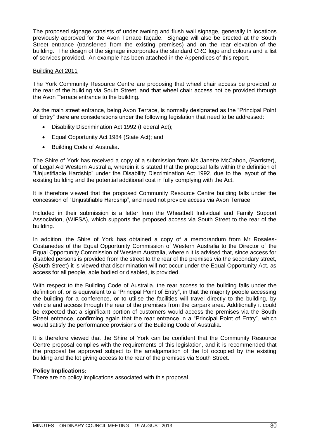The proposed signage consists of under awning and flush wall signage, generally in locations previously approved for the Avon Terrace façade. Signage will also be erected at the South Street entrance (transferred from the existing premises) and on the rear elevation of the building. The design of the signage incorporates the standard CRC logo and colours and a list of services provided. An example has been attached in the Appendices of this report.

### Building Act 2011

The York Community Resource Centre are proposing that wheel chair access be provided to the rear of the building via South Street, and that wheel chair access not be provided through the Avon Terrace entrance to the building.

As the main street entrance, being Avon Terrace, is normally designated as the "Principal Point of Entry" there are considerations under the following legislation that need to be addressed:

- Disability Discrimination Act 1992 (Federal Act);
- Equal Opportunity Act 1984 (State Act); and
- Building Code of Australia.

The Shire of York has received a copy of a submission from Ms Janette McCahon, (Barrister), of Legal Aid Western Australia, wherein it is stated that the proposal falls within the definition of "Unjustifiable Hardship" under the Disability Discrimination Act 1992, due to the layout of the existing building and the potential additional cost in fully complying with the Act.

It is therefore viewed that the proposed Community Resource Centre building falls under the concession of "Unjustifiable Hardship", and need not provide access via Avon Terrace.

Included in their submission is a letter from the Wheatbelt Individual and Family Support Association, (WIFSA), which supports the proposed access via South Street to the rear of the building.

In addition, the Shire of York has obtained a copy of a memorandum from Mr Rosales-Costanedes of the Equal Opportunity Commission of Western Australia to the Director of the Equal Opportunity Commission of Western Australia, wherein it is advised that, since access for disabled persons is provided from the street to the rear of the premises via the secondary street, (South Street) it is viewed that discrimination will not occur under the Equal Opportunity Act, as access for all people, able bodied or disabled, is provided.

With respect to the Building Code of Australia, the rear access to the building falls under the definition of, or is equivalent to a "Principal Point of Entry", in that the majority people accessing the building for a conference, or to utilise the facilities will travel directly to the building, by vehicle and access through the rear of the premises from the carpark area. Additionally it could be expected that a significant portion of customers would access the premises via the South Street entrance, confirming again that the rear entrance in a "Principal Point of Entry", which would satisfy the performance provisions of the Building Code of Australia.

It is therefore viewed that the Shire of York can be confident that the Community Resource Centre proposal complies with the requirements of this legislation, and it is recommended that the proposal be approved subject to the amalgamation of the lot occupied by the existing building and the lot giving access to the rear of the premises via South Street.

### **Policy Implications:**

There are no policy implications associated with this proposal.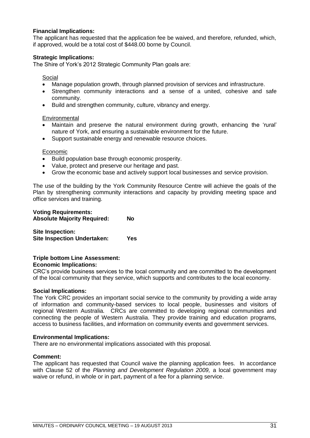### **Financial Implications:**

The applicant has requested that the application fee be waived, and therefore, refunded, which, if approved, would be a total cost of \$448.00 borne by Council.

### **Strategic Implications:**

The Shire of York"s 2012 Strategic Community Plan goals are:

### Social

- Manage population growth, through planned provision of services and infrastructure.
- Strengthen community interactions and a sense of a united, cohesive and safe community.
- Build and strengthen community, culture, vibrancy and energy.

### **Environmental**

- Maintain and preserve the natural environment during growth, enhancing the "rural" nature of York, and ensuring a sustainable environment for the future.
- Support sustainable energy and renewable resource choices.

### Economic

- Build population base through economic prosperity.
- Value, protect and preserve our heritage and past.
- Grow the economic base and actively support local businesses and service provision.

The use of the building by the York Community Resource Centre will achieve the goals of the Plan by strengthening community interactions and capacity by providing meeting space and office services and training.

### **Voting Requirements: Absolute Majority Required: No**

| <b>Site Inspection:</b>            |     |
|------------------------------------|-----|
| <b>Site Inspection Undertaken:</b> | Yes |

### **Triple bottom Line Assessment:**

### **Economic Implications:**

CRC"s provide business services to the local community and are committed to the development of the local community that they service, which supports and contributes to the local economy.

### **Social Implications:**

The York CRC provides an important social service to the community by providing a wide array of information and community-based services to local people, businesses and visitors of regional Western Australia. CRCs are committed to developing regional communities and connecting the people of Western Australia. They provide training and education programs, access to business facilities, and information on community events and government services.

### **Environmental Implications:**

There are no environmental implications associated with this proposal.

### **Comment:**

The applicant has requested that Council waive the planning application fees. In accordance with Clause 52 of the *Planning and Development Regulation 2009,* a local government may waive or refund, in whole or in part, payment of a fee for a planning service.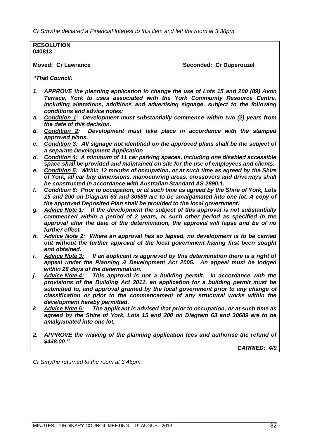*Cr Smythe declared a Financial Interest to this item and left the room at 3.38pm*

**RESOLUTION 040813**

**Moved: Cr Lawrance Seconded: Cr Duperouzel** 

*"That Council:*

- *1. APPROVE the planning application to change the use of Lots 15 and 200 (89) Avon Terrace, York to uses associated with the York Community Resource Centre, including alterations, additions and advertising signage, subject to the following conditions and advice notes:*
- *a. Condition 1: Development must substantially commence within two (2) years from the date of this decision.*
- *b. Condition 2: Development must take place in accordance with the stamped approved plans.*
- *c. Condition 3: All signage not identified on the approved plans shall be the subject of a separate Development Application*
- *d. Condition 4: A minimum of 11 car parking spaces, including one disabled accessible space shall be provided and maintained on site for the use of employees and clients.*
- *e. Condition 5: Within 12 months of occupation, or at such time as agreed by the Shire of York, all car bay dimensions, manoeuvring areas, crossovers and driveways shall be constructed in accordance with Australian Standard AS 2890.1.*
- *f. Condition 6: Prior to occupation, or at such time as agreed by the Shire of York, Lots 15 and 200 on Diagram 63 and 30689 are to be amalgamated into one lot. A copy of the approved Deposited Plan shall be provided to the local government.*
- *g. Advice Note 1: If the development the subject of this approval is not substantially commenced within a period of 2 years, or such other period as specified in the approval after the date of the determination, the approval will lapse and be of no further effect.*
- *h. Advice Note 2: Where an approval has so lapsed, no development is to be carried out without the further approval of the local government having first been sought and obtained.*
- *i. Advice Note 3: If an applicant is aggrieved by this determination there is a right of appeal under the Planning & Development Act 2005. An appeal must be lodged within 28 days of the determination.*
- *j. Advice Note 4: This approval is not a building permit. In accordance with the provisions of the Building Act 2011, an application for a building permit must be submitted to, and approval granted by the local government prior to any change of classification or prior to the commencement of any structural works within the development hereby permitted.*
- *k. Advice Note 5: The applicant is advised that prior to occupation, or at such time as agreed by the Shire of York, Lots 15 and 200 on Diagram 63 and 30689 are to be amalgamated into one lot.*
- *2. APPROVE the waiving of the planning application fees and authorise the refund of \$448.00."*

*CARRIED: 4/0*

*Cr Smythe returned to the room at 3.45pm*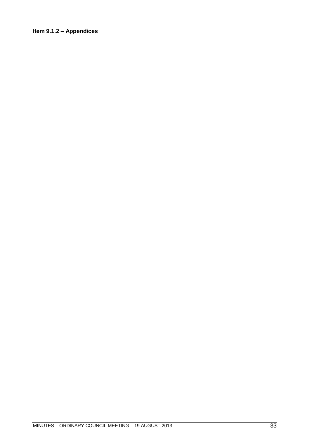### <span id="page-32-0"></span>**Item 9.1.2 – Appendices**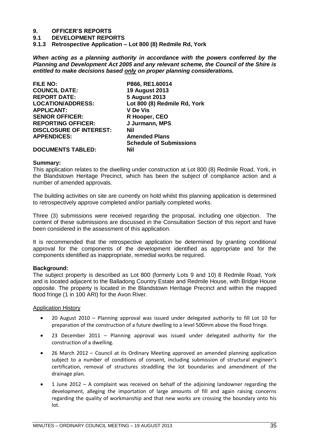# **9. OFFICER'S REPORTS**

**9.1 DEVELOPMENT REPORTS**

<span id="page-34-0"></span>**9.1.3 Retrospective Application – Lot 800 (8) Redmile Rd, York**

*When acting as a planning authority in accordance with the powers conferred by the Planning and Development Act 2005 and any relevant scheme, the Council of the Shire is entitled to make decisions based only on proper planning considerations.*

| <b>FILE NO:</b>                | P866, RE1.60014                |
|--------------------------------|--------------------------------|
| <b>COUNCIL DATE:</b>           | <b>19 August 2013</b>          |
| <b>REPORT DATE:</b>            | <b>5 August 2013</b>           |
| <b>LOCATION/ADDRESS:</b>       | Lot 800 (8) Redmile Rd, York   |
| <b>APPLICANT:</b>              | <b>V</b> De Vis                |
| <b>SENIOR OFFICER:</b>         | R Hooper, CEO                  |
| <b>REPORTING OFFICER:</b>      | J Jurmann, MPS                 |
| <b>DISCLOSURE OF INTEREST:</b> | Nil                            |
| <b>APPENDICES:</b>             | <b>Amended Plans</b>           |
|                                | <b>Schedule of Submissions</b> |
| <b>DOCUMENTS TABLED:</b>       | Nil                            |

### **Summary:**

This application relates to the dwelling under construction at Lot 800 (8) Redmile Road, York, in the Blandstown Heritage Precinct, which has been the subject of compliance action and a number of amended approvals.

The building activities on site are currently on hold whilst this planning application is determined to retrospectively approve completed and/or partially completed works.

Three (3) submissions were received regarding the proposal, including one objection. The content of these submissions are discussed in the Consultation Section of this report and have been considered in the assessment of this application.

It is recommended that the retrospective application be determined by granting conditional approval for the components of the development identified as appropriate and for the components identified as inappropriate, remedial works be required.

### **Background:**

The subject property is described as Lot 800 (formerly Lots 9 and 10) 8 Redmile Road, York and is located adjacent to the Balladong Country Estate and Redmile House, with Bridge House opposite. The property is located in the Blandstown Heritage Precinct and within the mapped flood fringe (1 in 100 ARI) for the Avon River.

### Application History

- 20 August 2010 Planning approval was issued under delegated authority to fill Lot 10 for preparation of the construction of a future dwelling to a level 500mm above the flood fringe.
- 23 December 2011 Planning approval was issued under delegated authority for the construction of a dwelling.
- 26 March 2012 Council at its Ordinary Meeting approved an amended planning application subject to a number of conditions of consent, including submission of structural engineer's certification, removal of structures straddling the lot boundaries and amendment of the drainage plan.
- 1 June 2012 A complaint was received on behalf of the adjoining landowner regarding the development, alleging the importation of large amounts of fill and again raising concerns regarding the quality of workmanship and that new works are crossing the boundary onto his lot.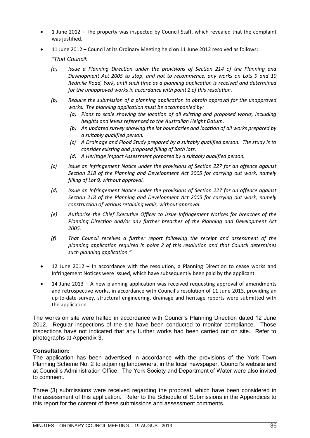- 1 June 2012 The property was inspected by Council Staff, which revealed that the complaint was justified.
- 11 June 2012 Council at its Ordinary Meeting held on 11 June 2012 resolved as follows:

*"That Council:* 

- *(a) Issue a Planning Direction under the provisions of Section 214 of the Planning and Development Act 2005 to stop, and not to recommence, any works on Lots 9 and 10 Redmile Road, York, until such time as a planning application is received and determined for the unapproved works in accordance with point 2 of this resolution.*
- *(b) Require the submission of a planning application to obtain approval for the unapproved works. The planning application must be accompanied by:*
	- *(a) Plans to scale showing the location of all existing and proposed works, including heights and levels referenced to the Australian Height Datum.*
	- *(b) An updated survey showing the lot boundaries and location of all works prepared by a suitably qualified person.*
	- *(c) A Drainage and Flood Study prepared by a suitably qualified person. The study is to consider existing and proposed filling of both lots.*
	- *(d) A Heritage Impact Assessment prepared by a suitably qualified person.*
- *(c) Issue an Infringement Notice under the provisions of Section 227 for an offence against Section 218 of the Planning and Development Act 2005 for carrying out work, namely filling of Lot 9, without approval.*
- *(d) Issue an Infringement Notice under the provisions of Section 227 for an offence against Section 218 of the Planning and Development Act 2005 for carrying out work, namely construction of various retaining walls, without approval.*
- *(e) Authorise the Chief Executive Officer to issue Infringement Notices for breaches of the Planning Direction and/or any further breaches of the Planning and Development Act 2005.*
- *(f) That Council receives a further report following the receipt and assessment of the planning application required in point 2 of this resolution and that Council determines such planning application."*
- 12 June 2012 In accordance with the resolution, a Planning Direction to cease works and Infringement Notices were issued, which have subsequently been paid by the applicant.
- 14 June 2013 A new planning application was received requesting approval of amendments and retrospective works, in accordance with Council's resolution of 11 June 2013, providing an up-to-date survey, structural engineering, drainage and heritage reports were submitted with the application.

The works on site were halted in accordance with Council"s Planning Direction dated 12 June 2012. Regular inspections of the site have been conducted to monitor compliance. Those inspections have not indicated that any further works had been carried out on site. Refer to photographs at Appendix 3.

### **Consultation:**

The application has been advertised in accordance with the provisions of the York Town Planning Scheme No. 2 to adjoining landowners, in the local newspaper, Council"s website and at Council"s Administration Office. The York Society and Department of Water were also invited to comment.

Three (3) submissions were received regarding the proposal, which have been considered in the assessment of this application. Refer to the Schedule of Submissions in the Appendices to this report for the content of these submissions and assessment comments.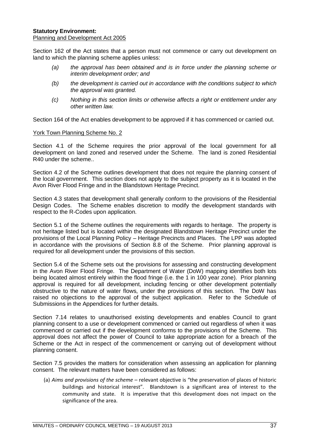# **Statutory Environment:**

Planning and Development Act 2005

Section 162 of the Act states that a person must not commence or carry out development on land to which the planning scheme applies unless:

- *(a) the approval has been obtained and is in force under the planning scheme or interim development order; and*
- *(b) the development is carried out in accordance with the conditions subject to which the approval was granted.*
- *(c) Nothing in this section limits or otherwise affects a right or entitlement under any other written law.*

Section 164 of the Act enables development to be approved if it has commenced or carried out.

# York Town Planning Scheme No. 2

Section 4.1 of the Scheme requires the prior approval of the local government for all development on land zoned and reserved under the Scheme. The land is zoned Residential R40 under the scheme.

Section 4.2 of the Scheme outlines development that does not require the planning consent of the local government. This section does not apply to the subject property as it is located in the Avon River Flood Fringe and in the Blandstown Heritage Precinct.

Section 4.3 states that development shall generally conform to the provisions of the Residential Design Codes. The Scheme enables discretion to modify the development standards with respect to the R-Codes upon application.

Section 5.1 of the Scheme outlines the requirements with regards to heritage. The property is not heritage listed but is located within the designated Blandstown Heritage Precinct under the provisions of the Local Planning Policy – Heritage Precincts and Places. The LPP was adopted in accordance with the provisions of Section 8.8 of the Scheme. Prior planning approval is required for all development under the provisions of this section.

Section 5.4 of the Scheme sets out the provisions for assessing and constructing development in the Avon River Flood Fringe. The Department of Water (DoW) mapping identifies both lots being located almost entirely within the flood fringe (i.e. the 1 in 100 year zone). Prior planning approval is required for all development, including fencing or other development potentially obstructive to the nature of water flows, under the provisions of this section. The DoW has raised no objections to the approval of the subject application. Refer to the Schedule of Submissions in the Appendices for further details.

Section 7.14 relates to unauthorised existing developments and enables Council to grant planning consent to a use or development commenced or carried out regardless of when it was commenced or carried out if the development conforms to the provisions of the Scheme. This approval does not affect the power of Council to take appropriate action for a breach of the Scheme or the Act in respect of the commencement or carrying out of development without planning consent.

Section 7.5 provides the matters for consideration when assessing an application for planning consent. The relevant matters have been considered as follows:

(a) *Aims and provisions of the scheme* – relevant objective is "the preservation of places of historic buildings and historical interest". Blandstown is a significant area of interest to the community and state. It is imperative that this development does not impact on the significance of the area.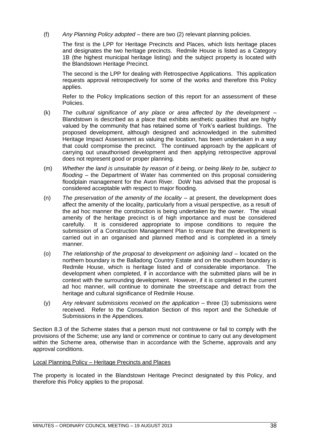(f) *Any Planning Policy adopted* – there are two (2) relevant planning policies.

The first is the LPP for Heritage Precincts and Places, which lists heritage places and designates the two heritage precincts. Redmile House is listed as a Category 1B (the highest municipal heritage listing) and the subject property is located with the Blandstown Heritage Precinct.

The second is the LPP for dealing with Retrospective Applications. This application requests approval retrospectively for some of the works and therefore this Policy applies.

Refer to the Policy Implications section of this report for an assessment of these Policies.

- (k) *The cultural significance of any place or area affected by the development*  Blandstown is described as a place that exhibits aesthetic qualities that are highly valued by the community that has retained some of York"s earliest buildings. The proposed development, although designed and acknowledged in the submitted Heritage Impact Assessment as valuing the location, has been undertaken in a way that could compromise the precinct. The continued approach by the applicant of carrying out unauthorised development and then applying retrospective approval does not represent good or proper planning.
- (m) *Whether the land is unsuitable by reason of it being, or being likely to be, subject to flooding* – the Department of Water has commented on this proposal considering floodplain management for the Avon River. DoW has advised that the proposal is considered acceptable with respect to major flooding.
- (n) *The preservation of the amenity of the locality* at present, the development does affect the amenity of the locality, particularly from a visual perspective, as a result of the ad hoc manner the construction is being undertaken by the owner. The visual amenity of the heritage precinct is of high importance and must be considered carefully. It is considered appropriate to impose conditions to require the submission of a Construction Management Plan to ensure that the development is carried out in an organised and planned method and is completed in a timely manner.
- (o) *The relationship of the proposal to development on adjoining land* located on the northern boundary is the Balladong Country Estate and on the southern boundary is Redmile House, which is heritage listed and of considerable importance. The development when completed, if in accordance with the submitted plans will be in context with the surrounding development. However, if it is completed in the current ad hoc manner, will continue to dominate the streetscape and detract from the heritage and cultural significance of Redmile House.
- (y) *Any relevant submissions received on the application* three (3) submissions were received. Refer to the Consultation Section of this report and the Schedule of Submissions in the Appendices.

Section 8.3 of the Scheme states that a person must not contravene or fail to comply with the provisions of the Scheme; use any land or commence or continue to carry out any development within the Scheme area, otherwise than in accordance with the Scheme, approvals and any approval conditions.

# Local Planning Policy – Heritage Precincts and Places

The property is located in the Blandstown Heritage Precinct designated by this Policy, and therefore this Policy applies to the proposal.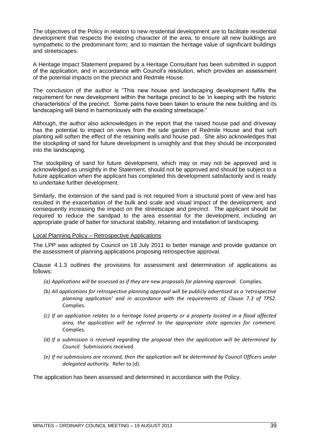The objectives of the Policy in relation to new residential development are to facilitate residential development that respects the existing character of the area; to ensure all new buildings are sympathetic to the predominant form; and to maintain the heritage value of significant buildings and streetscapes.

A Heritage Impact Statement prepared by a Heritage Consultant has been submitted in support of the application, and in accordance with Council"s resolution, which provides an assessment of the potential impacts on the precinct and Redmile House.

The conclusion of the author is "This new house and landscaping development fulfils the requirement for new development within the heritage precinct to be "in keeping with the historic characteristics" of the precinct. Some pains have been taken to ensure the new building and its landscaping will blend in harmoniously with the existing streetscape."

Although, the author also acknowledges in the report that the raised house pad and driveway has the potential to impact on views from the side garden of Redmile House and that soft planting will soften the effect of the retaining walls and house pad. She also acknowledges that the stockpiling of sand for future development is unsightly and that they should be incorporated into the landscaping.

The stockpiling of sand for future development, which may or may not be approved and is acknowledged as unsightly in the Statement, should not be approved and should be subject to a future application when the applicant has completed this development satisfactorily and is ready to undertake further development.

Similarly, the extension of the sand pad is not required from a structural point of view and has resulted in the exacerbation of the bulk and scale and visual impact of the development, and consequently increasing the impact on the streetscape and precinct. The applicant should be required to reduce the sandpad to the area essential for the development, including an appropriate grade of batter for structural stability, retaining and installation of landscaping.

# Local Planning Policy – Retrospective Applications

The LPP was adopted by Council on 18 July 2011 to better manage and provide guidance on the assessment of planning applications proposing retrospective approval.

Clause 4.1.3 outlines the provisions for assessment and determination of applications as follows:

- *(a) Applications will be assessed as if they are new proposals for planning approval.* Complies.
- *(b) All applications for retrospective planning approval will be publicly advertised as a 'retrospective planning application' and in accordance with the requirements of Clause 7.3 of TPS2.* Complies.
- *(c) If an application relates to a heritage listed property or a property located in a flood affected area, the application will be referred to the appropriate state agencies for comment.* Complies.
- *(d) If a submission is received regarding the proposal then the application will be determined by Council.* Submissions received.
- *(e) If no submissions are received, then the application will be determined by Council Officers under delegated authority.* Refer to (d).

The application has been assessed and determined in accordance with the Policy.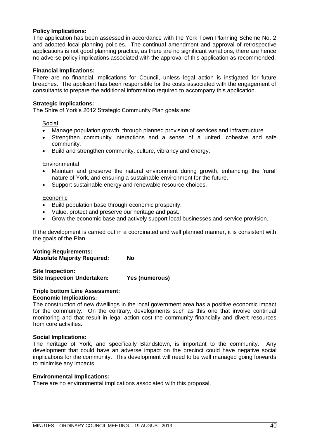## **Policy Implications:**

The application has been assessed in accordance with the York Town Planning Scheme No. 2 and adopted local planning policies. The continual amendment and approval of retrospective applications is not good planning practice, as there are no significant variations, there are hence no adverse policy implications associated with the approval of this application as recommended.

#### **Financial Implications:**

There are no financial implications for Council, unless legal action is instigated for future breaches. The applicant has been responsible for the costs associated with the engagement of consultants to prepare the additional information required to accompany this application.

## **Strategic Implications:**

The Shire of York"s 2012 Strategic Community Plan goals are:

#### Social

- Manage population growth, through planned provision of services and infrastructure.
- Strengthen community interactions and a sense of a united, cohesive and safe community.
- Build and strengthen community, culture, vibrancy and energy.

## **Environmental**

- Maintain and preserve the natural environment during growth, enhancing the "rural" nature of York, and ensuring a sustainable environment for the future.
- Support sustainable energy and renewable resource choices.

## Economic

- Build population base through economic prosperity.
- Value, protect and preserve our heritage and past.
- Grow the economic base and actively support local businesses and service provision.

If the development is carried out in a coordinated and well planned manner, it is consistent with the goals of the Plan.

## **Voting Requirements: Absolute Majority Required: No**

**Site Inspection: Site Inspection Undertaken: Yes (numerous)**

#### **Triple bottom Line Assessment: Economic Implications:**

The construction of new dwellings in the local government area has a positive economic impact for the community. On the contrary, developments such as this one that involve continual monitoring and that result in legal action cost the community financially and divert resources from core activities.

# **Social Implications:**

The heritage of York, and specifically Blandstown, is important to the community. Any development that could have an adverse impact on the precinct could have negative social implications for the community. This development will need to be well managed going forwards to minimise any impacts.

#### **Environmental Implications:**

There are no environmental implications associated with this proposal.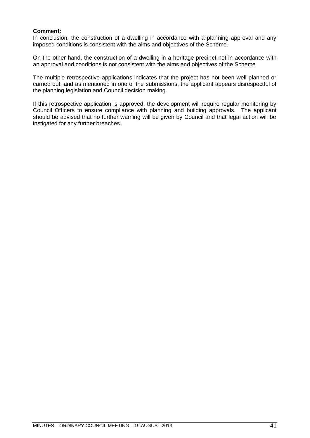# **Comment:**

In conclusion, the construction of a dwelling in accordance with a planning approval and any imposed conditions is consistent with the aims and objectives of the Scheme.

On the other hand, the construction of a dwelling in a heritage precinct not in accordance with an approval and conditions is not consistent with the aims and objectives of the Scheme.

The multiple retrospective applications indicates that the project has not been well planned or carried out, and as mentioned in one of the submissions, the applicant appears disrespectful of the planning legislation and Council decision making.

If this retrospective application is approved, the development will require regular monitoring by Council Officers to ensure compliance with planning and building approvals. The applicant should be advised that no further warning will be given by Council and that legal action will be instigated for any further breaches.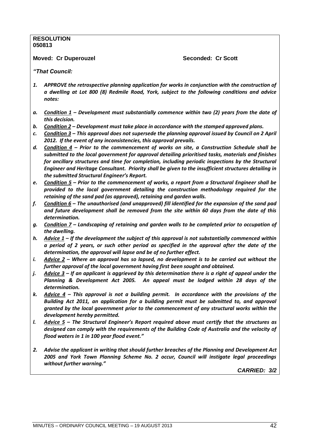#### **RESOLUTION 050813**

**Moved: Cr Duperouzel Seconded: Cr Scott**

*"That Council:*

- *1. APPROVE the retrospective planning application for works in conjunction with the construction of a dwelling at Lot 800 (8) Redmile Road, York, subject to the following conditions and advice notes:*
- *a. Condition 1 – Development must substantially commence within two (2) years from the date of this decision.*
- *b. Condition 2 – Development must take place in accordance with the stamped approved plans.*
- *c. Condition 3 – This approval does not supersede the planning approval issued by Council on 2 April 2012. If the event of any inconsistencies, this approval prevails.*
- *d. Condition 4 – Prior to the commencement of works on site, a Construction Schedule shall be submitted to the local government for approval detailing prioritised tasks, materials and finishes for ancillary structures and time for completion, including periodic inspections by the Structural Engineer and Heritage Consultant. Priority shall be given to the insufficient structures detailing in the submitted Structural Engineer's Report.*
- *e. Condition 5 – Prior to the commencement of works, a report from a Structural Engineer shall be provided to the local government detailing the construction methodology required for the retaining of the sand pad (as approved), retaining and garden walls.*
- *f. Condition 6 – The unauthorised (and unapproved) fill identified for the expansion of the sand pad and future development shall be removed from the site within 60 days from the date of this determination.*
- *g. Condition 7 – Landscaping of retaining and garden walls to be completed prior to occupation of the dwelling.*
- *h. Advice 1 – If the development the subject of this approval is not substantially commenced within a period of 2 years, or such other period as specified in the approval after the date of the determination, the approval will lapse and be of no further effect.*
- *i. Advice 2 – Where an approval has so lapsed, no development is to be carried out without the further approval of the local government having first been sought and obtained.*
- *j. Advice 3 – If an applicant is aggrieved by this determination there is a right of appeal under the Planning & Development Act 2005. An appeal must be lodged within 28 days of the determination.*
- *k. Advice 4 – This approval is not a building permit. In accordance with the provisions of the Building Act 2011, an application for a building permit must be submitted to, and approval granted by the local government prior to the commencement of any structural works within the development hereby permitted.*
- *l. Advice 5 – The Structural Engineer's Report required above must certify that the structures as designed can comply with the requirements of the Building Code of Australia and the velocity of flood waters in 1 in 100 year flood event."*
- *2. Advise the applicant in writing that should further breaches of the Planning and Development Act 2005 and York Town Planning Scheme No. 2 occur, Council will instigate legal proceedings without further warning."*

*CARRIED: 3/2*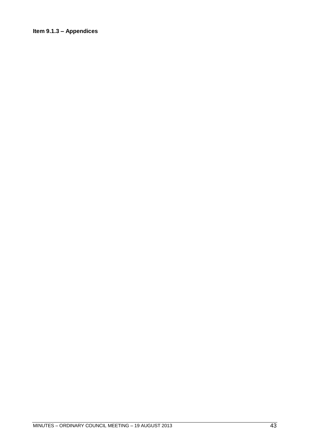# **Item 9.1.3 – Appendices**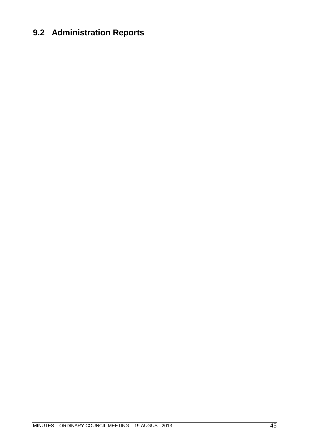# **9.2 Administration Reports**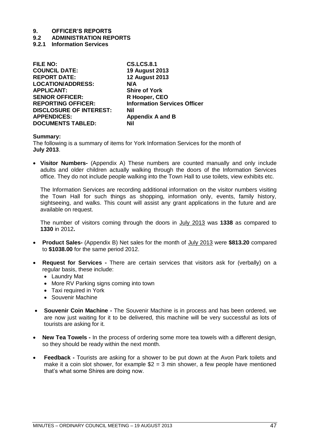# **9.2 ADMINISTRATION REPORTS**

**9.2.1 Information Services**

| <b>FILE NO:</b>                | <b>CS.LCS.8.1</b>                   |
|--------------------------------|-------------------------------------|
| <b>COUNCIL DATE:</b>           | <b>19 August 2013</b>               |
| <b>REPORT DATE:</b>            | <b>12 August 2013</b>               |
| <b>LOCATION/ADDRESS:</b>       | N/A                                 |
| <b>APPLICANT:</b>              | <b>Shire of York</b>                |
| <b>SENIOR OFFICER:</b>         | R Hooper, CEO                       |
| <b>REPORTING OFFICER:</b>      | <b>Information Services Officer</b> |
| <b>DISCLOSURE OF INTEREST:</b> | Nil                                 |
| <b>APPENDICES:</b>             | <b>Appendix A and B</b>             |
| <b>DOCUMENTS TABLED:</b>       | Nil                                 |
|                                |                                     |

## **Summary:**

The following is a summary of items for York Information Services for the month of **July 2013**.

 **Visitor Numbers-** (Appendix A) These numbers are counted manually and only include adults and older children actually walking through the doors of the Information Services office. They do not include people walking into the Town Hall to use toilets, view exhibits etc.

The Information Services are recording additional information on the visitor numbers visiting the Town Hall for such things as shopping, information only, events, family history, sightseeing, and walks. This count will assist any grant applications in the future and are available on request.

The number of visitors coming through the doors in July 2013 was **1338** as compared to **1330** in 2012**.** 

- **Product Sales-** (Appendix B) Net sales for the month of July 2013 were **\$813.20** compared to **\$1038.00** for the same period 2012.
- **Request for Services -** There are certain services that visitors ask for (verbally) on a regular basis, these include:
	- Laundry Mat
	- More RV Parking signs coming into town
	- Taxi required in York
	- Souvenir Machine
- **Souvenir Coin Machine -** The Souvenir Machine is in process and has been ordered, we are now just waiting for it to be delivered, this machine will be very successful as lots of tourists are asking for it.
- **New Tea Towels -** In the process of ordering some more tea towels with a different design, so they should be ready within the next month.
- **Feedback -** Tourists are asking for a shower to be put down at the Avon Park toilets and make it a coin slot shower, for example  $$2 = 3$  min shower, a few people have mentioned that"s what some Shires are doing now.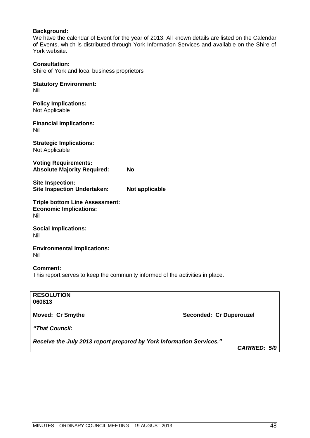# **Background:**

We have the calendar of Event for the year of 2013. All known details are listed on the Calendar of Events, which is distributed through York Information Services and available on the Shire of York website.

**Consultation:** Shire of York and local business proprietors

**Statutory Environment:** Nil

**Policy Implications:** Not Applicable

**Financial Implications:** Nil

**Strategic Implications:** Not Applicable

**Voting Requirements: Absolute Majority Required: No**

**Site Inspection: Site Inspection Undertaken: Not applicable** 

**Triple bottom Line Assessment: Economic Implications:** Nil

**Social Implications:** Nil

**Environmental Implications:** Nil

**Comment:**

This report serves to keep the community informed of the activities in place.

**RESOLUTION 060813 Moved: Cr Smythe**  Seconded: Cr Duperouzel *"That Council: Receive the July 2013 report prepared by York Information Services." CARRIED: 5/0*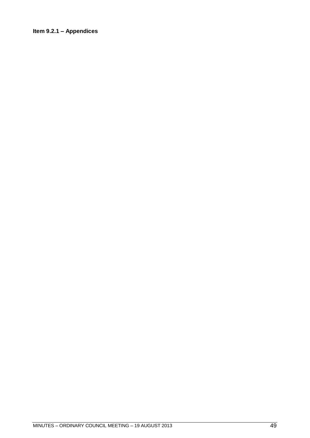# **Item 9.2.1 – Appendices**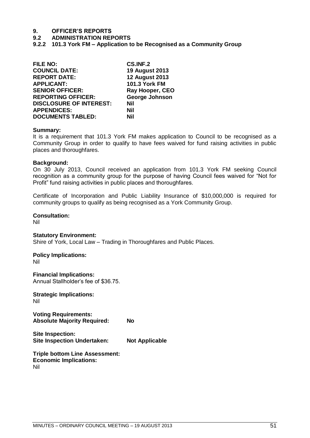## **9.2 ADMINISTRATION REPORTS**

**9.2.2 101.3 York FM – Application to be Recognised as a Community Group**

| <b>FILE NO:</b>                | CS.INF.2              |
|--------------------------------|-----------------------|
| <b>COUNCIL DATE:</b>           | <b>19 August 2013</b> |
| <b>REPORT DATE:</b>            | <b>12 August 2013</b> |
| <b>APPLICANT:</b>              | 101.3 York FM         |
| <b>SENIOR OFFICER:</b>         | Ray Hooper, CEO       |
| <b>REPORTING OFFICER:</b>      | George Johnson        |
| <b>DISCLOSURE OF INTEREST:</b> | Nil                   |
| <b>APPENDICES:</b>             | Nil                   |
| <b>DOCUMENTS TABLED:</b>       | Nil                   |

#### **Summary:**

It is a requirement that 101.3 York FM makes application to Council to be recognised as a Community Group in order to qualify to have fees waived for fund raising activities in public places and thoroughfares.

#### **Background:**

On 30 July 2013, Council received an application from 101.3 York FM seeking Council recognition as a community group for the purpose of having Council fees waived for "Not for Profit" fund raising activities in public places and thoroughfares.

Certificate of Incorporation and Public Liability Insurance of \$10,000,000 is required for community groups to qualify as being recognised as a York Community Group.

#### **Consultation:**

Nil

#### **Statutory Environment:**

Shire of York, Local Law – Trading in Thoroughfares and Public Places.

#### **Policy Implications:** Nil

**Financial Implications:**

Annual Stallholder"s fee of \$36.75.

**Strategic Implications:** Nil

**Voting Requirements: Absolute Majority Required: No**

**Site Inspection: Site Inspection Undertaken: Not Applicable**

**Triple bottom Line Assessment: Economic Implications:** Nil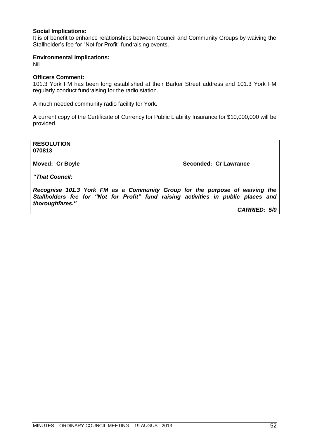# **Social Implications:**

It is of benefit to enhance relationships between Council and Community Groups by waiving the Stallholder"s fee for "Not for Profit" fundraising events.

## **Environmental Implications:**

Nil

# **Officers Comment:**

101.3 York FM has been long established at their Barker Street address and 101.3 York FM regularly conduct fundraising for the radio station.

A much needed community radio facility for York.

A current copy of the Certificate of Currency for Public Liability Insurance for \$10,000,000 will be provided.

**RESOLUTION 070813**

**Moved: Cr Boyle Seconded: Cr Lawrance Seconded: Cr Lawrance** 

*"That Council:*

*Recognise 101.3 York FM as a Community Group for the purpose of waiving the Stallholders fee for "Not for Profit" fund raising activities in public places and thoroughfares."* 

*CARRIED: 5/0*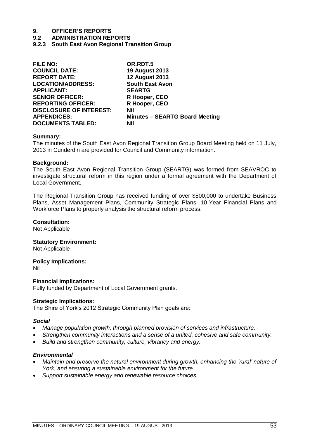#### **9.2 ADMINISTRATION REPORTS**

**9.2.3 South East Avon Regional Transition Group**

| <b>FILE NO:</b>                | OR.RDT.5                              |
|--------------------------------|---------------------------------------|
| <b>COUNCIL DATE:</b>           | <b>19 August 2013</b>                 |
| <b>REPORT DATE:</b>            | <b>12 August 2013</b>                 |
| <b>LOCATION/ADDRESS:</b>       | <b>South East Avon</b>                |
| <b>APPLICANT:</b>              | <b>SEARTG</b>                         |
| <b>SENIOR OFFICER:</b>         | R Hooper, CEO                         |
| <b>REPORTING OFFICER:</b>      | R Hooper, CEO                         |
| <b>DISCLOSURE OF INTEREST:</b> | Nil                                   |
| <b>APPENDICES:</b>             | <b>Minutes - SEARTG Board Meeting</b> |
| <b>DOCUMENTS TABLED:</b>       | Nil                                   |

#### **Summary:**

The minutes of the South East Avon Regional Transition Group Board Meeting held on 11 July, 2013 in Cunderdin are provided for Council and Community information.

#### **Background:**

The South East Avon Regional Transition Group (SEARTG) was formed from SEAVROC to investigate structural reform in this region under a formal agreement with the Department of Local Government.

The Regional Transition Group has received funding of over \$500,000 to undertake Business Plans, Asset Management Plans, Community Strategic Plans, 10 Year Financial Plans and Workforce Plans to properly analysis the structural reform process.

#### **Consultation:**

Not Applicable

## **Statutory Environment:**

Not Applicable

**Policy Implications:** Nil

**Financial Implications:** Fully funded by Department of Local Government grants.

#### **Strategic Implications:**

The Shire of York"s 2012 Strategic Community Plan goals are:

#### *Social*

- *Manage population growth, through planned provision of services and infrastructure.*
- *Strengthen community interactions and a sense of a united, cohesive and safe community.*
- *Build and strengthen community, culture, vibrancy and energy.*

#### *Environmental*

- *Maintain and preserve the natural environment during growth, enhancing the "rural" nature of York, and ensuring a sustainable environment for the future.*
- *Support sustainable energy and renewable resource choices.*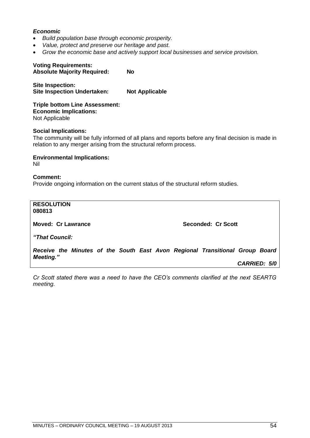# *Economic*

- *Build population base through economic prosperity.*
- *Value, protect and preserve our heritage and past.*
- *Grow the economic base and actively support local businesses and service provision.*

#### **Voting Requirements: Absolute Majority Required: No**

**Site Inspection: Site Inspection Undertaken: Not Applicable**

**Triple bottom Line Assessment: Economic Implications:** Not Applicable

#### **Social Implications:**

The community will be fully informed of all plans and reports before any final decision is made in relation to any merger arising from the structural reform process.

**Environmental Implications:** Nil

**Comment:** Provide ongoing information on the current status of the structural reform studies.

**RESOLUTION 080813**

**Moved: Cr Lawrance Seconded: Cr Scott** 

*"That Council:*

*Receive the Minutes of the South East Avon Regional Transitional Group Board Meeting."*

*CARRIED: 5/0*

*Cr Scott stated there was a need to have the CEO"s comments clarified at the next SEARTG meeting.*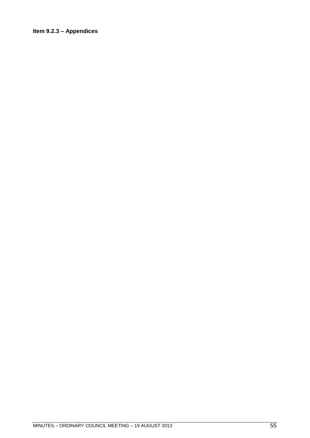# **Item 9.2.3 – Appendices**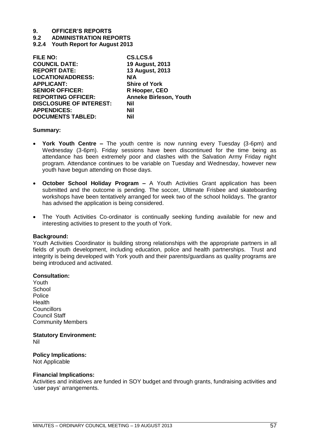**9.2 ADMINISTRATION REPORTS**

**9.2.4 Youth Report for August 2013**

| <b>FILE NO:</b>                | CS.LCS.6                      |
|--------------------------------|-------------------------------|
| <b>COUNCIL DATE:</b>           | 19 August, 2013               |
| <b>REPORT DATE:</b>            | 13 August, 2013               |
| <b>LOCATION/ADDRESS:</b>       | N/A                           |
| <b>APPLICANT:</b>              | <b>Shire of York</b>          |
| <b>SENIOR OFFICER:</b>         | R Hooper, CEO                 |
| <b>REPORTING OFFICER:</b>      | <b>Anneke Birleson, Youth</b> |
| <b>DISCLOSURE OF INTEREST:</b> | <b>Nil</b>                    |
| <b>APPENDICES:</b>             | <b>Nil</b>                    |
| <b>DOCUMENTS TABLED:</b>       | Nil                           |
|                                |                               |

#### **Summary:**

- **York Youth Centre –** The youth centre is now running every Tuesday (3-6pm) and Wednesday (3-6pm). Friday sessions have been discontinued for the time being as attendance has been extremely poor and clashes with the Salvation Army Friday night program. Attendance continues to be variable on Tuesday and Wednesday, however new youth have begun attending on those days.
- **October School Holiday Program –** A Youth Activities Grant application has been submitted and the outcome is pending. The soccer, Ultimate Frisbee and skateboarding workshops have been tentatively arranged for week two of the school holidays. The grantor has advised the application is being considered.
- The Youth Activities Co-ordinator is continually seeking funding available for new and interesting activities to present to the youth of York.

#### **Background:**

Youth Activities Coordinator is building strong relationships with the appropriate partners in all fields of youth development, including education, police and health partnerships. Trust and integrity is being developed with York youth and their parents/guardians as quality programs are being introduced and activated.

#### **Consultation:**

Youth **School Police** Health **Councillors** Council Staff Community Members

#### **Statutory Environment:** Nil

# **Policy Implications:**

Not Applicable

# **Financial Implications:**

Activities and initiatives are funded in SOY budget and through grants, fundraising activities and 'user pays' arrangements.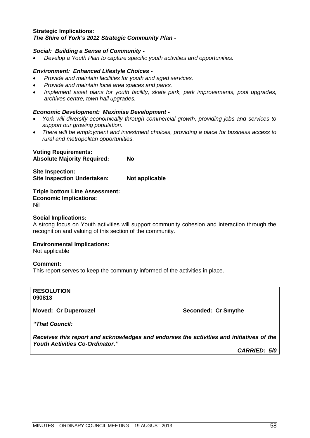#### **Strategic Implications:** *The Shire of York"s 2012 Strategic Community Plan -*

# *Social: Building a Sense of Community -*

*Develop a Youth Plan to capture specific youth activities and opportunities.*

#### *Environment: Enhanced Lifestyle Choices -*

- *Provide and maintain facilities for youth and aged services.*
- *Provide and maintain local area spaces and parks.*
- *Implement asset plans for youth facility, skate park, park improvements, pool upgrades, archives centre, town hall upgrades.*

## *Economic Development: Maximise Development -*

- *York will diversify economically through commercial growth, providing jobs and services to support our growing population.*
- *There will be employment and investment choices, providing a place for business access to rural and metropolitan opportunities.*

#### **Voting Requirements: Absolute Majority Required: No**

**Site Inspection: Site Inspection Undertaken: Not applicable**

#### **Triple bottom Line Assessment: Economic Implications:**

Nil

# **Social Implications:**

A strong focus on Youth activities will support community cohesion and interaction through the recognition and valuing of this section of the community.

#### **Environmental Implications:**

Not applicable

#### **Comment:**

This report serves to keep the community informed of the activities in place.

## **RESOLUTION 090813**

**Moved: Cr Duperouzel Seconded: Cr Smythe Seconded: Cr Smythe** 

*"That Council:*

*Receives this report and acknowledges and endorses the activities and initiatives of the Youth Activities Co-Ordinator."*

*CARRIED: 5/0*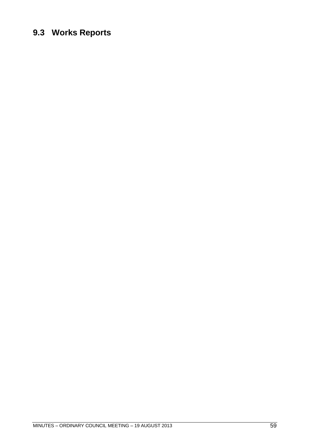# **9.3 Works Reports**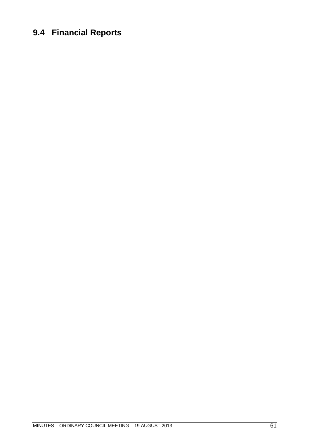# **9.4 Financial Reports**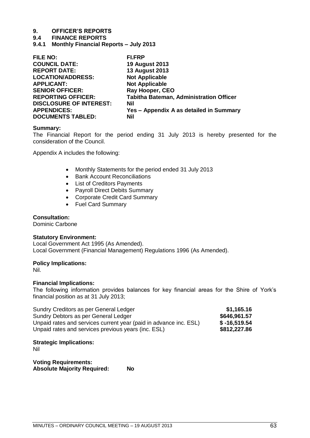## **9.4 FINANCE REPORTS**

**9.4.1 Monthly Financial Reports – July 2013**

| <b>FILE NO:</b>                | <b>FI.FRP</b>                                  |
|--------------------------------|------------------------------------------------|
| <b>COUNCIL DATE:</b>           | <b>19 August 2013</b>                          |
| <b>REPORT DATE:</b>            | <b>13 August 2013</b>                          |
| <b>LOCATION/ADDRESS:</b>       | <b>Not Applicable</b>                          |
| <b>APPLICANT:</b>              | <b>Not Applicable</b>                          |
| <b>SENIOR OFFICER:</b>         | <b>Ray Hooper, CEO</b>                         |
| <b>REPORTING OFFICER:</b>      | <b>Tabitha Bateman, Administration Officer</b> |
| <b>DISCLOSURE OF INTEREST:</b> | <b>Nil</b>                                     |
| <b>APPENDICES:</b>             | Yes - Appendix A as detailed in Summary        |
| <b>DOCUMENTS TABLED:</b>       | Nil                                            |

#### **Summary:**

The Financial Report for the period ending 31 July 2013 is hereby presented for the consideration of the Council.

Appendix A includes the following:

- Monthly Statements for the period ended 31 July 2013
- Bank Account Reconciliations
- List of Creditors Payments
- Payroll Direct Debits Summary
- Corporate Credit Card Summary
- Fuel Card Summary

# **Consultation:**

Dominic Carbone

#### **Statutory Environment:**

Local Government Act 1995 (As Amended). Local Government (Financial Management) Regulations 1996 (As Amended).

#### **Policy Implications:**

Nil.

#### **Financial Implications:**

The following information provides balances for key financial areas for the Shire of York"s financial position as at 31 July 2013;

| Sundry Creditors as per General Ledger                            | \$1,165.16     |
|-------------------------------------------------------------------|----------------|
| Sundry Debtors as per General Ledger                              | \$646,961.57   |
| Unpaid rates and services current year (paid in advance inc. ESL) | $$ -16,519.54$ |
| Unpaid rates and services previous years (inc. ESL)               | \$812,227.86   |

# **Strategic Implications:**

Nil

**Voting Requirements: Absolute Majority Required: No**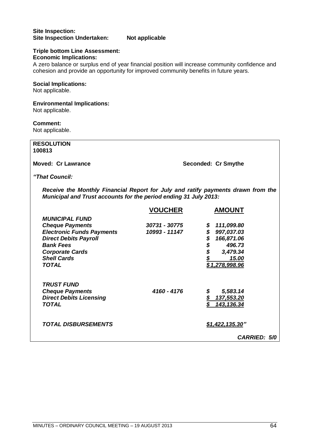# **Site Inspection: Site Inspection Undertaken: Not applicable**

# **Triple bottom Line Assessment:**

**Economic Implications:**

A zero balance or surplus end of year financial position will increase community confidence and cohesion and provide an opportunity for improved community benefits in future years.

# **Social Implications:**

Not applicable.

# **Environmental Implications:**

Not applicable.

# **Comment:**

Not applicable.

| <b>RESOLUTION</b><br>100813                                                                                                                                                                             |                                |                                                                                                             |
|---------------------------------------------------------------------------------------------------------------------------------------------------------------------------------------------------------|--------------------------------|-------------------------------------------------------------------------------------------------------------|
| <b>Moved: Cr Lawrance</b>                                                                                                                                                                               |                                | Seconded: Cr Smythe                                                                                         |
| "That Council:                                                                                                                                                                                          |                                |                                                                                                             |
| Receive the Monthly Financial Report for July and ratify payments drawn from the<br>Municipal and Trust accounts for the period ending 31 July 2013:                                                    |                                |                                                                                                             |
|                                                                                                                                                                                                         | <b>VOUCHER</b>                 | <b>AMOUNT</b>                                                                                               |
| <b>MUNICIPAL FUND</b><br><b>Cheque Payments</b><br><b>Electronic Funds Payments</b><br><b>Direct Debits Payroll</b><br><b>Bank Fees</b><br><b>Corporate Cards</b><br><b>Shell Cards</b><br><b>TOTAL</b> | 30731 - 30775<br>10993 - 11147 | 111,099.80<br>\$<br>\$997,037.03<br>\$\$\$\$<br>166,871.06<br>496.73<br>3,479.34<br>15.00<br>\$1,278,998.96 |
| <b>TRUST FUND</b><br><b>Cheque Payments</b><br><b>Direct Debits Licensing</b><br><b>TOTAL</b>                                                                                                           | 4160 - 4176                    | 5,583.14<br>\$<br>$\frac{\mathcal{S}}{\mathcal{S}}$<br>137,553.20<br>\$<br>143, 136.34                      |
| <b>TOTAL DISBURSEMENTS</b>                                                                                                                                                                              |                                | \$1,422,135.30"<br><b>CARRIED: 5/0</b>                                                                      |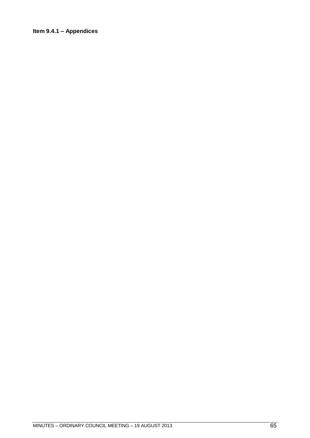# **Item 9.4.1 – Appendices**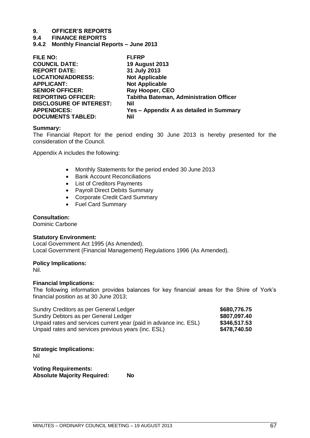## **9.4 FINANCE REPORTS**

**9.4.2 Monthly Financial Reports – June 2013**

| <b>FILE NO:</b>                | <b>FI.FRP</b>                                  |
|--------------------------------|------------------------------------------------|
| <b>COUNCIL DATE:</b>           | <b>19 August 2013</b>                          |
| <b>REPORT DATE:</b>            | 31 July 2013                                   |
| <b>LOCATION/ADDRESS:</b>       | <b>Not Applicable</b>                          |
| <b>APPLICANT:</b>              | <b>Not Applicable</b>                          |
| <b>SENIOR OFFICER:</b>         | <b>Ray Hooper, CEO</b>                         |
| <b>REPORTING OFFICER:</b>      | <b>Tabitha Bateman, Administration Officer</b> |
| <b>DISCLOSURE OF INTEREST:</b> | <b>Nil</b>                                     |
| <b>APPENDICES:</b>             | Yes - Appendix A as detailed in Summary        |
| <b>DOCUMENTS TABLED:</b>       | Nil                                            |

#### **Summary:**

The Financial Report for the period ending 30 June 2013 is hereby presented for the consideration of the Council.

Appendix A includes the following:

- Monthly Statements for the period ended 30 June 2013
- Bank Account Reconciliations
- List of Creditors Payments
- Payroll Direct Debits Summary
- Corporate Credit Card Summary
- Fuel Card Summary

### **Consultation:**

Dominic Carbone

#### **Statutory Environment:**

Local Government Act 1995 (As Amended). Local Government (Financial Management) Regulations 1996 (As Amended).

#### **Policy Implications:**

Nil.

# **Financial Implications:**

The following information provides balances for key financial areas for the Shire of York"s financial position as at 30 June 2013;

| Sundry Creditors as per General Ledger                            | \$680,776.75 |
|-------------------------------------------------------------------|--------------|
| Sundry Debtors as per General Ledger                              | \$807,097.40 |
| Unpaid rates and services current year (paid in advance inc. ESL) | \$346,517.53 |
| Unpaid rates and services previous years (inc. ESL)               | \$478,740.50 |

# **Strategic Implications:**

Nil

**Voting Requirements: Absolute Majority Required: No**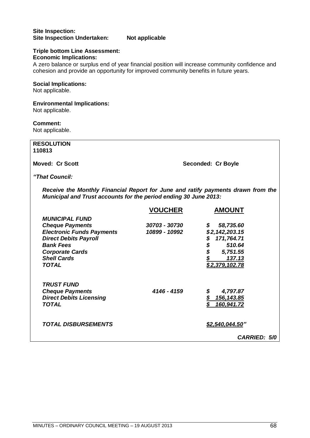# **Site Inspection: Site Inspection Undertaken: Not applicable**

# **Triple bottom Line Assessment:**

**Economic Implications:**

A zero balance or surplus end of year financial position will increase community confidence and cohesion and provide an opportunity for improved community benefits in future years.

# **Social Implications:**

Not applicable.

# **Environmental Implications:**

Not applicable.

# **Comment:**

Not applicable.

| <b>RESOLUTION</b><br>110813                                                                                                                                                                             |                                |                                                                                                                              |
|---------------------------------------------------------------------------------------------------------------------------------------------------------------------------------------------------------|--------------------------------|------------------------------------------------------------------------------------------------------------------------------|
| <b>Moved: Cr Scott</b>                                                                                                                                                                                  |                                | Seconded: Cr Boyle                                                                                                           |
| "That Council:                                                                                                                                                                                          |                                |                                                                                                                              |
| Receive the Monthly Financial Report for June and ratify payments drawn from the<br>Municipal and Trust accounts for the period ending 30 June 2013:                                                    |                                |                                                                                                                              |
|                                                                                                                                                                                                         | <b>VOUCHER</b>                 | <b>AMOUNT</b>                                                                                                                |
| <b>MUNICIPAL FUND</b><br><b>Cheque Payments</b><br><b>Electronic Funds Payments</b><br><b>Direct Debits Payroll</b><br><b>Bank Fees</b><br><b>Corporate Cards</b><br><b>Shell Cards</b><br><b>TOTAL</b> | 30703 - 30730<br>10899 - 10992 | 58,735.60<br>\$<br>\$2,142,203.15<br>171,764.71<br><b>\$\$\$</b><br>\$\$\$<br>510.64<br>5,751.55<br>137.13<br>\$2,379,102.78 |
| <b>TRUST FUND</b><br><b>Cheque Payments</b><br><b>Direct Debits Licensing</b><br><b>TOTAL</b>                                                                                                           | 4146 - 4159                    | \$<br>4,797.87<br>$5$<br>156, 143.85<br>\$<br>160,941.72                                                                     |
| <b>TOTAL DISBURSEMENTS</b>                                                                                                                                                                              |                                | \$2,540,044.50"<br><b>CARRIED: 5/0</b>                                                                                       |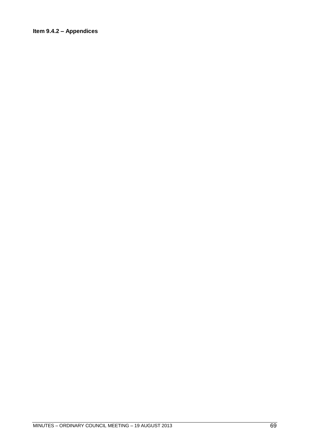# **Item 9.4.2 – Appendices**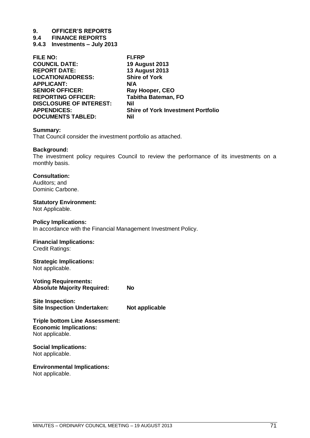**9.4 FINANCE REPORTS**

**9.4.3 Investments – July 2013**

| <b>FILE NO:</b>                | <b>FI.FRP</b>                             |
|--------------------------------|-------------------------------------------|
| <b>COUNCIL DATE:</b>           | <b>19 August 2013</b>                     |
| <b>REPORT DATE:</b>            | <b>13 August 2013</b>                     |
| <b>LOCATION/ADDRESS:</b>       | <b>Shire of York</b>                      |
| <b>APPLICANT:</b>              | N/A                                       |
| <b>SENIOR OFFICER:</b>         | Ray Hooper, CEO                           |
| <b>REPORTING OFFICER:</b>      | <b>Tabitha Bateman, FO</b>                |
| <b>DISCLOSURE OF INTEREST:</b> | <b>Nil</b>                                |
| <b>APPENDICES:</b>             | <b>Shire of York Investment Portfolio</b> |
| <b>DOCUMENTS TABLED:</b>       | Nil                                       |
|                                |                                           |

#### **Summary:**

That Council consider the investment portfolio as attached.

## **Background:**

The investment policy requires Council to review the performance of its investments on a monthly basis.

# **Consultation:**

Auditors; and Dominic Carbone.

## **Statutory Environment:**

Not Applicable.

#### **Policy Implications:**

In accordance with the Financial Management Investment Policy.

# **Financial Implications:**

Credit Ratings:

# **Strategic Implications:**

Not applicable.

**Voting Requirements: Absolute Majority Required: No**

**Site Inspection: Site Inspection Undertaken: Not applicable**

#### **Triple bottom Line Assessment: Economic Implications:** Not applicable.

## **Social Implications:** Not applicable.

**Environmental Implications:**

Not applicable.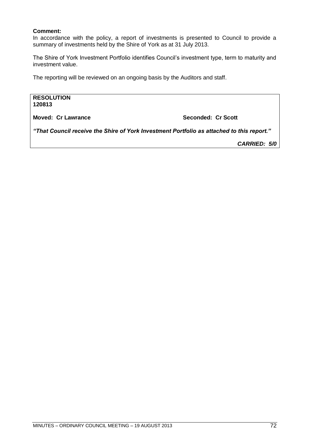# **Comment:**

In accordance with the policy, a report of investments is presented to Council to provide a summary of investments held by the Shire of York as at 31 July 2013.

The Shire of York Investment Portfolio identifies Council"s investment type, term to maturity and investment value.

The reporting will be reviewed on an ongoing basis by the Auditors and staff.

**RESOLUTION 120813**

**Moved: Cr Lawrance Seconded: Cr Scott**

*"That Council receive the Shire of York Investment Portfolio as attached to this report."*

*CARRIED: 5/0*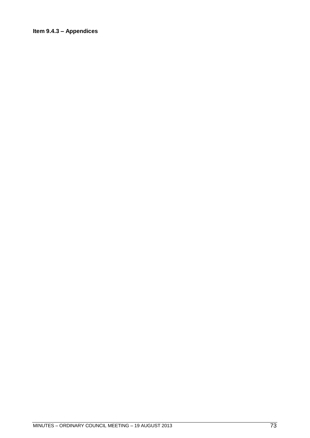# **Item 9.4.3 – Appendices**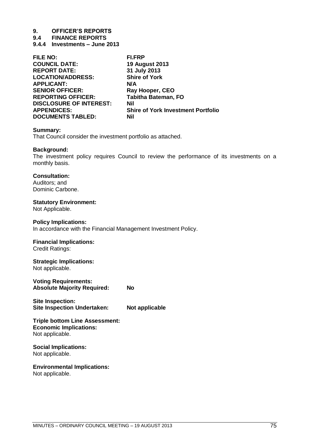**9.4 FINANCE REPORTS**

**9.4.4 Investments – June 2013**

| FILE NO:                       | <b>FI.FRP</b>                             |
|--------------------------------|-------------------------------------------|
| <b>COUNCIL DATE:</b>           | <b>19 August 2013</b>                     |
| <b>REPORT DATE:</b>            | 31 July 2013                              |
| <b>LOCATION/ADDRESS:</b>       | <b>Shire of York</b>                      |
| <b>APPLICANT:</b>              | N/A                                       |
| <b>SENIOR OFFICER:</b>         | Ray Hooper, CEO                           |
| <b>REPORTING OFFICER:</b>      | <b>Tabitha Bateman, FO</b>                |
| <b>DISCLOSURE OF INTEREST:</b> | <b>Nil</b>                                |
| <b>APPENDICES:</b>             | <b>Shire of York Investment Portfolio</b> |
| <b>DOCUMENTS TABLED:</b>       | Nil                                       |
|                                |                                           |

## **Summary:**

That Council consider the investment portfolio as attached.

## **Background:**

The investment policy requires Council to review the performance of its investments on a monthly basis.

# **Consultation:**

Auditors; and Dominic Carbone.

# **Statutory Environment:**

Not Applicable.

## **Policy Implications:**

In accordance with the Financial Management Investment Policy.

# **Financial Implications:**

Credit Ratings:

# **Strategic Implications:**

Not applicable.

**Voting Requirements: Absolute Majority Required: No**

**Site Inspection: Site Inspection Undertaken: Not applicable** 

#### **Triple bottom Line Assessment: Economic Implications:** Not applicable.

# **Social Implications:** Not applicable.

**Environmental Implications:**

Not applicable.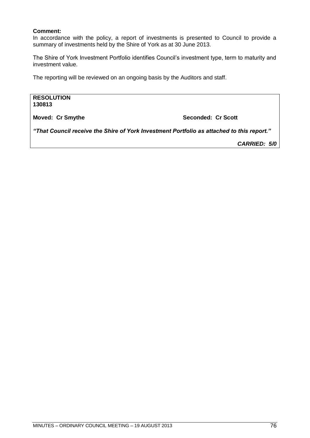# **Comment:**

In accordance with the policy, a report of investments is presented to Council to provide a summary of investments held by the Shire of York as at 30 June 2013.

The Shire of York Investment Portfolio identifies Council"s investment type, term to maturity and investment value.

The reporting will be reviewed on an ongoing basis by the Auditors and staff.

**RESOLUTION 130813**

**Moved: Cr Smythe Seconded: Cr Scott** 

*"That Council receive the Shire of York Investment Portfolio as attached to this report."*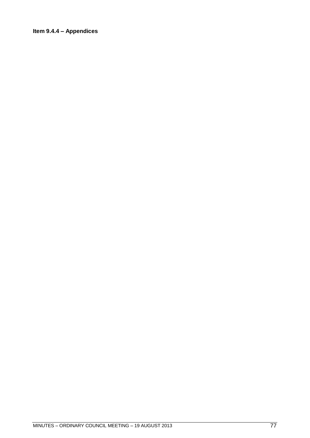# **Item 9.4.4 – Appendices**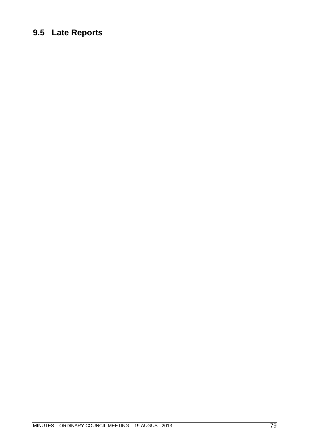# **9.5 Late Reports**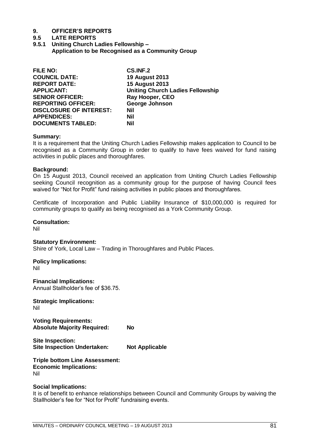# **9.5 LATE REPORTS**

**9.5.1 Uniting Church Ladies Fellowship – Application to be Recognised as a Community Group**

| <b>CS.INF.2</b>                         |
|-----------------------------------------|
| <b>19 August 2013</b>                   |
| <b>15 August 2013</b>                   |
| <b>Uniting Church Ladies Fellowship</b> |
| Ray Hooper, CEO                         |
| George Johnson                          |
| <b>Nil</b>                              |
| Nil                                     |
| Nil                                     |
|                                         |

# **Summary:**

It is a requirement that the Uniting Church Ladies Fellowship makes application to Council to be recognised as a Community Group in order to qualify to have fees waived for fund raising activities in public places and thoroughfares.

# **Background:**

On 15 August 2013, Council received an application from Uniting Church Ladies Fellowship seeking Council recognition as a community group for the purpose of having Council fees waived for "Not for Profit" fund raising activities in public places and thoroughfares.

Certificate of Incorporation and Public Liability Insurance of \$10,000,000 is required for community groups to qualify as being recognised as a York Community Group.

# **Consultation:**

Nil

## **Statutory Environment:**

Shire of York, Local Law – Trading in Thoroughfares and Public Places.

#### **Policy Implications:** Nil

**Financial Implications:** Annual Stallholder"s fee of \$36.75.

**Strategic Implications:** Nil

**Voting Requirements: Absolute Majority Required: No**

**Site Inspection: Site Inspection Undertaken: Not Applicable**

**Triple bottom Line Assessment: Economic Implications:** Nil

# **Social Implications:**

It is of benefit to enhance relationships between Council and Community Groups by waiving the Stallholder"s fee for "Not for Profit" fundraising events.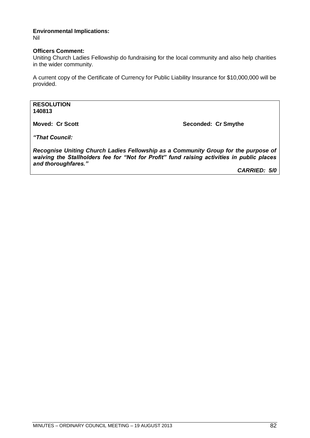#### **Environmental Implications:** Nil

# **Officers Comment:**

Uniting Church Ladies Fellowship do fundraising for the local community and also help charities in the wider community.

A current copy of the Certificate of Currency for Public Liability Insurance for \$10,000,000 will be provided.

# **RESOLUTION 140813**

**Moved: Cr Scott Seconded: Cr Smythe**

*"That Council:*

*Recognise Uniting Church Ladies Fellowship as a Community Group for the purpose of waiving the Stallholders fee for "Not for Profit" fund raising activities in public places and thoroughfares."*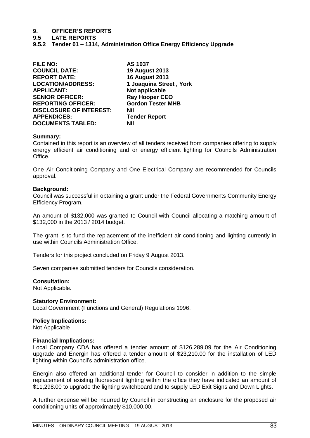**9.5 LATE REPORTS**

**9.5.2 Tender 01 – 1314, Administration Office Energy Efficiency Upgrade**

| <b>FILE NO:</b>                | AS 1037                  |
|--------------------------------|--------------------------|
| <b>COUNCIL DATE:</b>           | <b>19 August 2013</b>    |
| <b>REPORT DATE:</b>            | <b>16 August 2013</b>    |
| <b>LOCATION/ADDRESS:</b>       | 1 Joaquina Street, York  |
| <b>APPLICANT:</b>              | Not applicable           |
| <b>SENIOR OFFICER:</b>         | <b>Ray Hooper CEO</b>    |
| <b>REPORTING OFFICER:</b>      | <b>Gordon Tester MHB</b> |
| <b>DISCLOSURE OF INTEREST:</b> | Nil                      |
| <b>APPENDICES:</b>             | <b>Tender Report</b>     |
| <b>DOCUMENTS TABLED:</b>       | Nil                      |
|                                |                          |

## **Summary:**

Contained in this report is an overview of all tenders received from companies offering to supply energy efficient air conditioning and or energy efficient lighting for Councils Administration Office.

One Air Conditioning Company and One Electrical Company are recommended for Councils approval.

## **Background:**

Council was successful in obtaining a grant under the Federal Governments Community Energy Efficiency Program.

An amount of \$132,000 was granted to Council with Council allocating a matching amount of \$132,000 in the 2013 / 2014 budget.

The grant is to fund the replacement of the inefficient air conditioning and lighting currently in use within Councils Administration Office.

Tenders for this project concluded on Friday 9 August 2013.

Seven companies submitted tenders for Councils consideration.

#### **Consultation:**

Not Applicable.

# **Statutory Environment:**

Local Government (Functions and General) Regulations 1996.

# **Policy Implications:**

Not Applicable

# **Financial Implications:**

Local Company CDA has offered a tender amount of \$126,289.09 for the Air Conditioning upgrade and Energin has offered a tender amount of \$23,210.00 for the installation of LED lighting within Council"s administration office.

Energin also offered an additional tender for Council to consider in addition to the simple replacement of existing fluorescent lighting within the office they have indicated an amount of \$11,298.00 to upgrade the lighting switchboard and to supply LED Exit Signs and Down Lights.

A further expense will be incurred by Council in constructing an enclosure for the proposed air conditioning units of approximately \$10,000.00.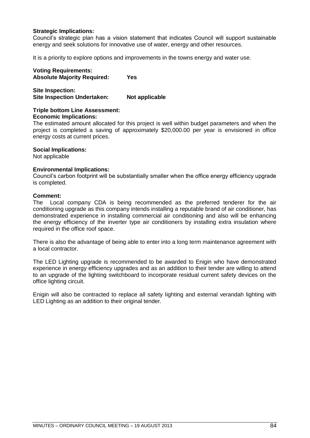# **Strategic Implications:**

Council"s strategic plan has a vision statement that indicates Council will support sustainable energy and seek solutions for innovative use of water, energy and other resources.

It is a priority to explore options and improvements in the towns energy and water use.

**Voting Requirements: Absolute Majority Required: Yes**

**Site Inspection: Site Inspection Undertaken: Not applicable**

# **Triple bottom Line Assessment:**

## **Economic Implications:**

The estimated amount allocated for this project is well within budget parameters and when the project is completed a saving of approximately \$20,000.00 per year is envisioned in office energy costs at current prices.

## **Social Implications:**

Not applicable

# **Environmental Implications:**

Council"s carbon footprint will be substantially smaller when the office energy efficiency upgrade is completed.

# **Comment:**

The Local company CDA is being recommended as the preferred tenderer for the air conditioning upgrade as this company intends installing a reputable brand of air conditioner, has demonstrated experience in installing commercial air conditioning and also will be enhancing the energy efficiency of the inverter type air conditioners by installing extra insulation where required in the office roof space.

There is also the advantage of being able to enter into a long term maintenance agreement with a local contractor.

The LED Lighting upgrade is recommended to be awarded to Enigin who have demonstrated experience in energy efficiency upgrades and as an addition to their tender are willing to attend to an upgrade of the lighting switchboard to incorporate residual current safety devices on the office lighting circuit.

Enigin will also be contracted to replace all safety lighting and external verandah lighting with LED Lighting as an addition to their original tender.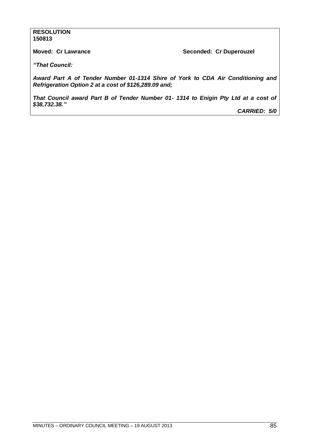# **RESOLUTION 150813**

**Moved: Cr Lawrance <br>
Seconded: Cr Duperouzel** 

*"That Council:*

*Award Part A of Tender Number 01-1314 Shire of York to CDA Air Conditioning and Refrigeration Option 2 at a cost of \$126,289.09 and;*

*That Council award Part B of Tender Number 01- 1314 to Enigin Pty Ltd at a cost of \$38,732.38."*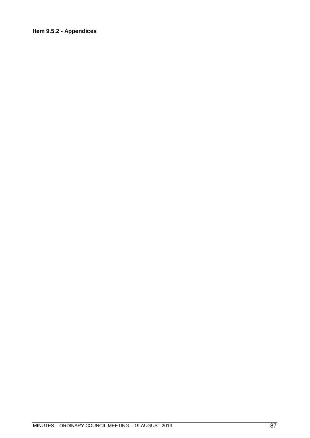# **Item 9.5.2 - Appendices**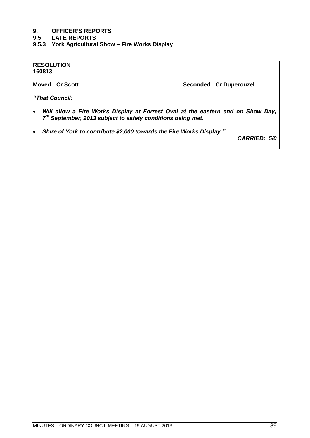# **9.5 LATE REPORTS**

**9.5.3 York Agricultural Show – Fire Works Display**

**RESOLUTION 160813**

**Moved: Cr Scott Seconded: Cr Duperouzel** 

*"That Council:*

- *Will allow a Fire Works Display at Forrest Oval at the eastern end on Show Day, 7 th September, 2013 subject to safety conditions being met.*
- *Shire of York to contribute \$2,000 towards the Fire Works Display."*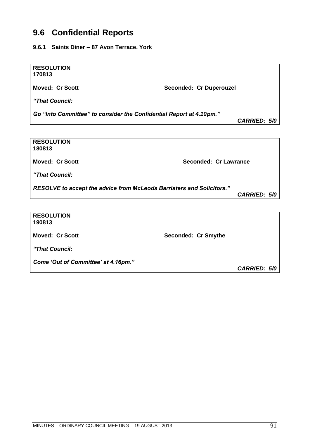# **9.6 Confidential Reports**

**9.6.1 Saints Diner – 87 Avon Terrace, York**

**RESOLUTION 170813**

Moved: Cr Scott Seconded: Cr Duperouzel

*"That Council:*

*Go "Into Committee" to consider the Confidential Report at 4.10pm."*

*CARRIED: 5/0*

**RESOLUTION 180813 Moved: Cr Scott Seconded: Cr Lawrance** *"That Council: RESOLVE to accept the advice from McLeods Barristers and Solicitors." CARRIED: 5/0* **RESOLUTION 190813** Moved: Cr Scott Seconded: Cr Smythe *"That Council:*

*Come "Out of Committee" at 4.16pm."*